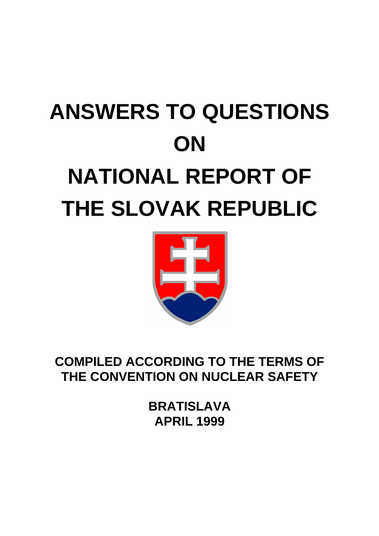# **ANSWERS TO QUESTIONS ON NATIONAL REPORT OF THE SLOVAK REPUBLIC**



**COMPILED ACCORDING TO THE TERMS OF THE CONVENTION ON NUCLEAR SAFETY**

> **BRATISLAVA APRIL 1999**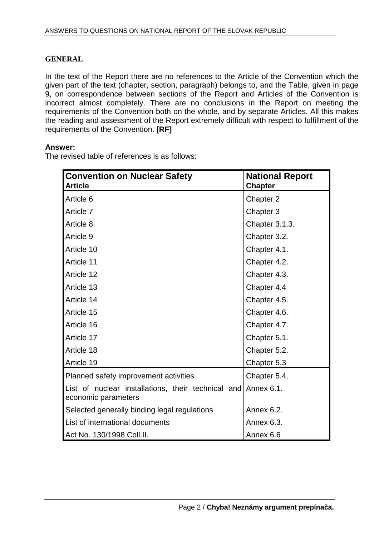## **GENERAL**

In the text of the Report there are no references to the Article of the Convention which the given part of the text (chapter, section, paragraph) belongs to, and the Table, given in page 9, on correspondence between sections of the Report and Articles of the Convention is incorrect almost completely. There are no conclusions in the Report on meeting the requirements of the Convention both on the whole, and by separate Articles. All this makes the reading and assessment of the Report extremely difficult with respect to fulfillment of the requirements of the Convention. **[RF]** 

## **Answer:**

The revised table of references is as follows:

| <b>Convention on Nuclear Safety</b><br><b>Article</b>                                | <b>National Report</b><br><b>Chapter</b> |
|--------------------------------------------------------------------------------------|------------------------------------------|
| Article 6                                                                            | Chapter 2                                |
| Article 7                                                                            | Chapter 3                                |
| Article 8                                                                            | Chapter 3.1.3.                           |
| Article 9                                                                            | Chapter 3.2.                             |
| Article 10                                                                           | Chapter 4.1.                             |
| Article 11                                                                           | Chapter 4.2.                             |
| Article 12                                                                           | Chapter 4.3.                             |
| Article 13                                                                           | Chapter 4.4                              |
| Article 14                                                                           | Chapter 4.5.                             |
| Article 15                                                                           | Chapter 4.6.                             |
| Article 16                                                                           | Chapter 4.7.                             |
| Article 17                                                                           | Chapter 5.1.                             |
| Article 18                                                                           | Chapter 5.2.                             |
| Article 19                                                                           | Chapter 5.3                              |
| Planned safety improvement activities                                                | Chapter 5.4.                             |
| List of nuclear installations, their technical and Annex 6.1.<br>economic parameters |                                          |
| Selected generally binding legal regulations                                         | Annex 6.2.                               |
| List of international documents                                                      | Annex 6.3.                               |
| Act No. 130/1998 Coll.II.                                                            | Annex 6.6                                |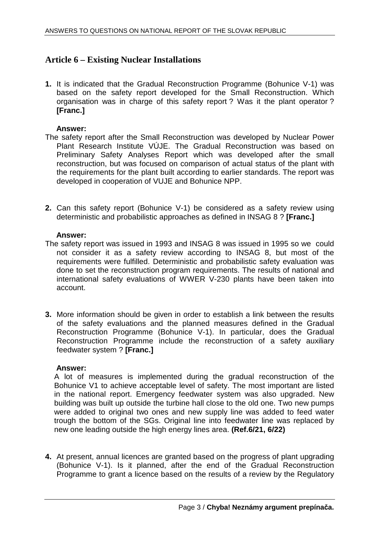## **Article 6 – Existing Nuclear Installations**

**1.** It is indicated that the Gradual Reconstruction Programme (Bohunice V-1) was based on the safety report developed for the Small Reconstruction. Which organisation was in charge of this safety report ? Was it the plant operator ? **[Franc.]** 

## **Answer:**

- The safety report after the Small Reconstruction was developed by Nuclear Power Plant Research Institute VÚJE. The Gradual Reconstruction was based on Preliminary Safety Analyses Report which was developed after the small reconstruction, but was focused on comparison of actual status of the plant with the requirements for the plant built according to earlier standards. The report was developed in cooperation of VUJE and Bohunice NPP.
- **2.** Can this safety report (Bohunice V-1) be considered as a safety review using deterministic and probabilistic approaches as defined in INSAG 8 ? **[Franc.]**

## **Answer:**

- The safety report was issued in 1993 and INSAG 8 was issued in 1995 so we could not consider it as a safety review according to INSAG 8, but most of the requirements were fulfilled. Deterministic and probabilistic safety evaluation was done to set the reconstruction program requirements. The results of national and international safety evaluations of WWER V-230 plants have been taken into account.
- **3.** More information should be given in order to establish a link between the results of the safety evaluations and the planned measures defined in the Gradual Reconstruction Programme (Bohunice V-1). In particular, does the Gradual Reconstruction Programme include the reconstruction of a safety auxiliary feedwater system ? **[Franc.]**

## **Answer:**

A lot of measures is implemented during the gradual reconstruction of the Bohunice V1 to achieve acceptable level of safety. The most important are listed in the national report. Emergency feedwater system was also upgraded. New building was built up outside the turbine hall close to the old one. Two new pumps were added to original two ones and new supply line was added to feed water trough the bottom of the SGs. Original line into feedwater line was replaced by new one leading outside the high energy lines area. **(Ref.6/21, 6/22)** 

**4.** At present, annual licences are granted based on the progress of plant upgrading (Bohunice V-1). Is it planned, after the end of the Gradual Reconstruction Programme to grant a licence based on the results of a review by the Regulatory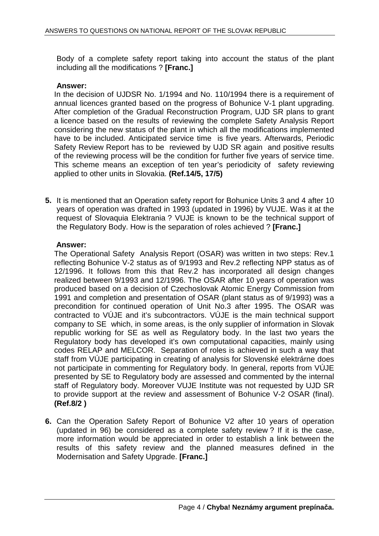Body of a complete safety report taking into account the status of the plant including all the modifications ? **[Franc.]** 

## **Answer:**

In the decision of UJDSR No. 1/1994 and No. 110/1994 there is a requirement of annual licences granted based on the progress of Bohunice V-1 plant upgrading. After completion of the Gradual Reconstruction Program, UJD SR plans to grant a licence based on the results of reviewing the complete Safety Analysis Report considering the new status of the plant in which all the modifications implemented have to be included. Anticipated service time is five years. Afterwards, Periodic Safety Review Report has to be reviewed by UJD SR again and positive results of the reviewing process will be the condition for further five years of service time. This scheme means an exception of ten year's periodicity of safety reviewing applied to other units in Slovakia. **(Ref.14/5, 17/5)** 

**5.** It is mentioned that an Operation safety report for Bohunice Units 3 and 4 after 10 years of operation was drafted in 1993 (updated in 1996) by VUJE. Was it at the request of Slovaquia Elektrania ? VUJE is known to be the technical support of the Regulatory Body. How is the separation of roles achieved ? **[Franc.]** 

## **Answer:**

The Operational Safety Analysis Report (OSAR) was written in two steps: Rev.1 reflecting Bohunice V-2 status as of 9/1993 and Rev.2 reflecting NPP status as of 12/1996. It follows from this that Rev.2 has incorporated all design changes realized between 9/1993 and 12/1996. The OSAR after 10 years of operation was produced based on a decision of Czechoslovak Atomic Energy Commission from 1991 and completion and presentation of OSAR (plant status as of 9/1993) was a precondition for continued operation of Unit No.3 after 1995. The OSAR was contracted to VÚJE and it's subcontractors. VÚJE is the main technical support company to SE which, in some areas, is the only supplier of information in Slovak republic working for SE as well as Regulatory body. In the last two years the Regulatory body has developed it's own computational capacities, mainly using codes RELAP and MELCOR. Separation of roles is achieved in such a way that staff from VÚJE participating in creating of analysis for Slovenské elektrárne does not participate in commenting for Regulatory body. In general, reports from VÚJE presented by SE to Regulatory body are assessed and commented by the internal staff of Regulatory body. Moreover VUJE Institute was not requested by UJD SR to provide support at the review and assessment of Bohunice V-2 OSAR (final). **(Ref.8/2 )** 

**6.** Can the Operation Safety Report of Bohunice V2 after 10 years of operation (updated in 96) be considered as a complete safety review ? If it is the case, more information would be appreciated in order to establish a link between the results of this safety review and the planned measures defined in the Modernisation and Safety Upgrade. **[Franc.]**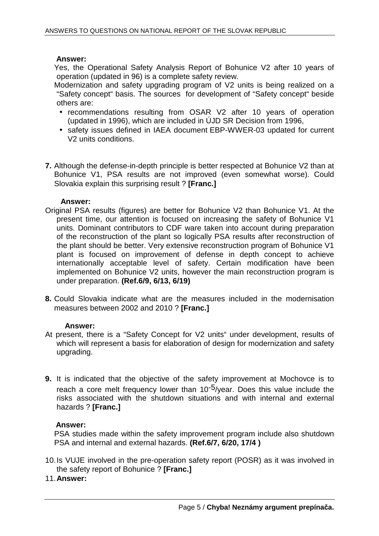## **Answer:**

Yes, the Operational Safety Analysis Report of Bohunice V2 after 10 years of operation (updated in 96) is a complete safety review.

Modernization and safety upgrading program of V2 units is being realized on a "Safety concept" basis. The sources for development of "Safety concept" beside others are:

- recommendations resulting from OSAR V2 after 10 years of operation (updated in 1996), which are included in ÚJD SR Decision from 1996,
- safety issues defined in IAEA document EBP-WWER-03 updated for current V2 units conditions.
- **7.** Although the defense-in-depth principle is better respected at Bohunice V2 than at Bohunice V1, PSA results are not improved (even somewhat worse). Could Slovakia explain this surprising result ? **[Franc.]**

## **Answer:**

- Original PSA results (figures) are better for Bohunice V2 than Bohunice V1. At the present time, our attention is focused on increasing the safety of Bohunice V1 units. Dominant contributors to CDF ware taken into account during preparation of the reconstruction of the plant so logically PSA results after reconstruction of the plant should be better. Very extensive reconstruction program of Bohunice V1 plant is focused on improvement of defense in depth concept to achieve internationally acceptable level of safety. Certain modification have been implemented on Bohunice V2 units, however the main reconstruction program is under preparation. **(Ref.6/9, 6/13, 6/19)**
- **8.** Could Slovakia indicate what are the measures included in the modernisation measures between 2002 and 2010 ? **[Franc.]**

## **Answer:**

- At present, there is a "Safety Concept for V2 units" under development, results of which will represent a basis for elaboration of design for modernization and safety upgrading.
- **9.** It is indicated that the objective of the safety improvement at Mochovce is to reach a core melt frequency lower than  $10^{-5}/y$ ear. Does this value include the risks associated with the shutdown situations and with internal and external hazards ? **[Franc.]**

## **Answer:**

PSA studies made within the safety improvement program include also shutdown PSA and internal and external hazards. **(Ref.6/7, 6/20, 17/4 )**

10. Is VUJE involved in the pre-operation safety report (POSR) as it was involved in the safety report of Bohunice ? **[Franc.]** 

## 11. **Answer:**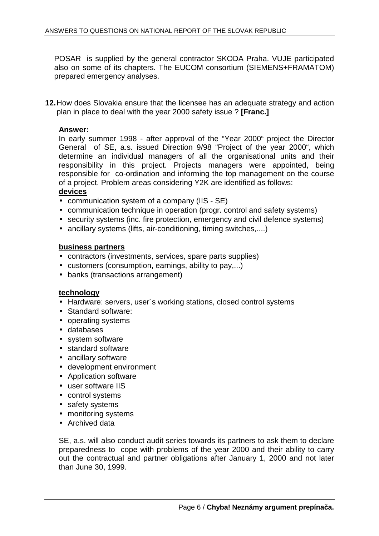POSAR is supplied by the general contractor SKODA Praha. VUJE participated also on some of its chapters. The EUCOM consortium (SIEMENS+FRAMATOM) prepared emergency analyses.

**12.** How does Slovakia ensure that the licensee has an adequate strategy and action plan in place to deal with the year 2000 safety issue ? **[Franc.]** 

## **Answer:**

In early summer 1998 - after approval of the "Year 2000" project the Director General of SE, a.s. issued Direction 9/98 "Project of the year 2000", which determine an individual managers of all the organisational units and their responsibility in this project. Projects managers were appointed, being responsible for co-ordination and informing the top management on the course of a project. Problem areas considering Y2K are identified as follows:

## **devices**

- communication system of a company (IIS SE)
- communication technique in operation (progr. control and safety systems)
- security systems (inc. fire protection, emergency and civil defence systems)
- ancillary systems (lifts, air-conditioning, timing switches,....)

## **business partners**

- contractors (investments, services, spare parts supplies)
- customers (consumption, earnings, ability to pay,...)
- banks (transactions arrangement)

## **technology**

- Hardware: servers, user's working stations, closed control systems
- Standard software:
- operating systems
- databases
- system software
- standard software
- ancillary software
- development environment
- Application software
- user software IIS
- control systems
- safety systems
- monitoring systems
- Archived data

SE, a.s. will also conduct audit series towards its partners to ask them to declare preparedness to cope with problems of the year 2000 and their ability to carry out the contractual and partner obligations after January 1, 2000 and not later than June 30, 1999.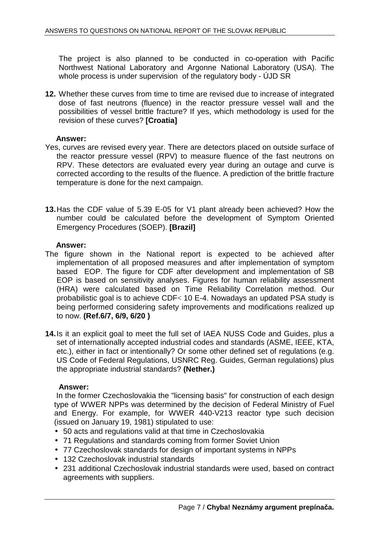The project is also planned to be conducted in co-operation with Pacific Northwest National Laboratory and Argonne National Laboratory (USA). The whole process is under supervision of the regulatory body - ÚJD SR

**12.** Whether these curves from time to time are revised due to increase of integrated dose of fast neutrons (fluence) in the reactor pressure vessel wall and the possibilities of vessel brittle fracture? If yes, which methodology is used for the revision of these curves? **[Croatia]** 

## **Answer:**

- Yes, curves are revised every year. There are detectors placed on outside surface of the reactor pressure vessel (RPV) to measure fluence of the fast neutrons on RPV. These detectors are evaluated every year during an outage and curve is corrected according to the results of the fluence. A prediction of the brittle fracture temperature is done for the next campaign.
- **13.** Has the CDF value of 5.39 E-05 for V1 plant already been achieved? How the number could be calculated before the development of Symptom Oriented Emergency Procedures (SOEP). **[Brazil]**

## **Answer:**

- The figure shown in the National report is expected to be achieved after implementation of all proposed measures and after implementation of symptom based EOP. The figure for CDF after development and implementation of SB EOP is based on sensitivity analyses. Figures for human reliability assessment (HRA) were calculated based on Time Reliability Correlation method. Our probabilistic goal is to achieve CDF< 10 E-4. Nowadays an updated PSA study is being performed considering safety improvements and modifications realized up to now. **(Ref.6/7, 6/9, 6/20 )**
- **14.** Is it an explicit goal to meet the full set of IAEA NUSS Code and Guides, plus a set of internationally accepted industrial codes and standards (ASME, IEEE, KTA, etc.), either in fact or intentionally? Or some other defined set of regulations (e.g. US Code of Federal Regulations, USNRC Reg. Guides, German regulations) plus the appropriate industrial standards? **(Nether.)**

## **Answer:**

 In the former Czechoslovakia the "licensing basis" for construction of each design type of WWER NPPs was determined by the decision of Federal Ministry of Fuel and Energy. For example, for WWER 440-V213 reactor type such decision (issued on January 19, 1981) stipulated to use:

- 50 acts and regulations valid at that time in Czechoslovakia
- 71 Regulations and standards coming from former Soviet Union
- 77 Czechoslovak standards for design of important systems in NPPs
- 132 Czechoslovak industrial standards
- 231 additional Czechoslovak industrial standards were used, based on contract agreements with suppliers.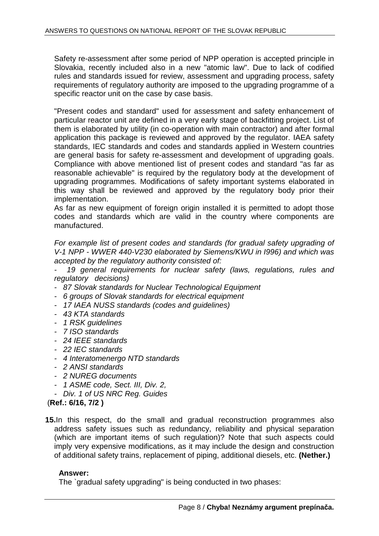Safety re-assessment after some period of NPP operation is accepted principle in Slovakia, recently included also in a new "atomic law". Due to lack of codified rules and standards issued for review, assessment and upgrading process, safety requirements of regulatory authority are imposed to the upgrading programme of a specific reactor unit on the case by case basis.

"Present codes and standard" used for assessment and safety enhancement of particular reactor unit are defined in a very early stage of backfitting project. List of them is elaborated by utility (in co-operation with main contractor) and after formal application this package is reviewed and approved by the regulator. IAEA safety standards, IEC standards and codes and standards applied in Western countries are general basis for safety re-assessment and development of upgrading goals. Compliance with above mentioned list of present codes and standard "as far as reasonable achievable" is required by the regulatory body at the development of upgrading programmes. Modifications of safety important systems elaborated in this way shall be reviewed and approved by the regulatory body prior their implementation.

As far as new equipment of foreign origin installed it is permitted to adopt those codes and standards which are valid in the country where components are manufactured.

For example list of present codes and standards (for gradual safety upgrading of V-1 NPP - WWER 440-V230 elaborated by Siemens/KWU in I996) and which was accepted by the regulatory authority consisted of:

19 general requirements for nuclear safety (laws, regulations, rules and regulatory decisions)

- 87 Slovak standards for Nuclear Technological Equipment
- 6 groups of Slovak standards for electrical equipment
- 17 IAEA NUSS standards (codes and guidelines)
- 43 KTA standards
- 1 RSK guidelines
- 7 ISO standards
- 24 IEEE standards
- 22 IEC standards
- 4 Interatomenergo NTD standards
- 2 ANSI standards
- 2 NUREG documents
- 1 ASME code, Sect. III, Div. 2,
- Div. 1 of US NRC Reg. Guides

(**Ref.: 6/16, 7/2 )** 

**15.**In this respect, do the small and gradual reconstruction programmes also address safety issues such as redundancy, reliability and physical separation (which are important items of such regulation)? Note that such aspects could imply very expensive modifications, as it may include the design and construction of additional safety trains, replacement of piping, additional diesels, etc. **(Nether.)** 

## **Answer:**

The `gradual safety upgrading" is being conducted in two phases: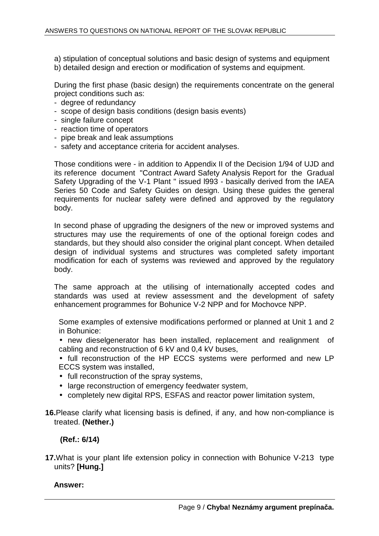- a) stipulation of conceptual solutions and basic design of systems and equipment
- b) detailed design and erection or modification of systems and equipment.

During the first phase (basic design) the requirements concentrate on the general project conditions such as:

- degree of redundancy
- scope of design basis conditions (design basis events)
- single failure concept
- reaction time of operators
- pipe break and leak assumptions
- safety and acceptance criteria for accident analyses.

Those conditions were - in addition to Appendix II of the Decision 1/94 of UJD and its reference document "Contract Award Safety Analysis Report for the Gradual Safety Upgrading of the V-1 Plant " issued l993 - basically derived from the IAEA Series 50 Code and Safety Guides on design. Using these guides the general requirements for nuclear safety were defined and approved by the regulatory body.

In second phase of upgrading the designers of the new or improved systems and structures may use the requirements of one of the optional foreign codes and standards, but they should also consider the original plant concept. When detailed design of individual systems and structures was completed safety important modification for each of systems was reviewed and approved by the regulatory body.

The same approach at the utilising of internationally accepted codes and standards was used at review assessment and the development of safety enhancement programmes for Bohunice V-2 NPP and for Mochovce NPP.

Some examples of extensive modifications performed or planned at Unit 1 and 2 in Bohunice:

- new dieselgenerator has been installed, replacement and realignment of cabling and reconstruction of 6 kV and 0,4 kV buses,
- full reconstruction of the HP ECCS systems were performed and new LP ECCS system was installed,
- full reconstruction of the spray systems.
- large reconstruction of emergency feedwater system,
- completely new digital RPS, ESFAS and reactor power limitation system,
- **16.**Please clarify what licensing basis is defined, if any, and how non-compliance is treated. **(Nether.)**

## **(Ref.: 6/14)**

**17.**What is your plant life extension policy in connection with Bohunice V-213 type units? **[Hung.]** 

 **Answer:**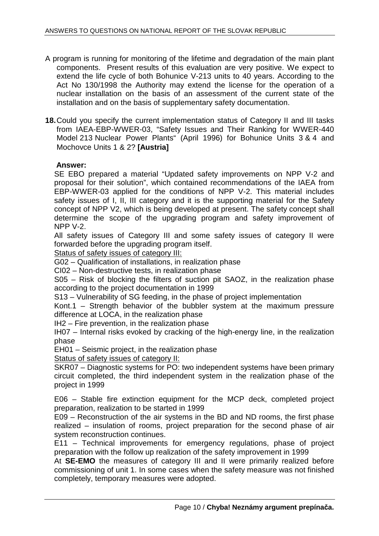- A program is running for monitoring of the lifetime and degradation of the main plant components. Present results of this evaluation are very positive. We expect to extend the life cycle of both Bohunice V-213 units to 40 years. According to the Act No 130/1998 the Authority may extend the license for the operation of a nuclear installation on the basis of an assessment of the current state of the installation and on the basis of supplementary safety documentation.
- **18.** Could you specify the current implementation status of Category II and III tasks from IAEA-EBP-WWER-03, "Safety Issues and Their Ranking for WWER-440 Model 213 Nuclear Power Plants" (April 1996) for Bohunice Units 3 & 4 and Mochovce Units 1 & 2? **[Austria]**

## **Answer:**

SE EBO prepared a material "Updated safety improvements on NPP V-2 and proposal for their solution", which contained recommendations of the IAEA from EBP-WWER-03 applied for the conditions of NPP V-2. This material includes safety issues of I, II, III category and it is the supporting material for the Safety concept of NPP V2, which is being developed at present. The safety concept shall determine the scope of the upgrading program and safety improvement of NPP V-2.

All safety issues of Category III and some safety issues of category II were forwarded before the upgrading program itself.

Status of safety issues of category III:

G02 – Qualification of installations, in realization phase

CI02 – Non-destructive tests, in realization phase

S05 – Risk of blocking the filters of suction pit SAOZ, in the realization phase according to the project documentation in 1999

S13 – Vulnerability of SG feeding, in the phase of project implementation

Kont.1 – Strength behavior of the bubbler system at the maximum pressure difference at LOCA, in the realization phase

IH2 – Fire prevention, in the realization phase

IH07 – Internal risks evoked by cracking of the high-energy line, in the realization phase

EH01 – Seismic project, in the realization phase

Status of safety issues of category II:

SKR07 – Diagnostic systems for PO: two independent systems have been primary circuit completed, the third independent system in the realization phase of the project in 1999

E06 – Stable fire extinction equipment for the MCP deck, completed project preparation, realization to be started in 1999

E09 – Reconstruction of the air systems in the BD and ND rooms, the first phase realized – insulation of rooms, project preparation for the second phase of air system reconstruction continues.

E11 – Technical improvements for emergency regulations, phase of project preparation with the follow up realization of the safety improvement in 1999

At **SE-EMO** the measures of category III and II were primarily realized before commissioning of unit 1. In some cases when the safety measure was not finished completely, temporary measures were adopted.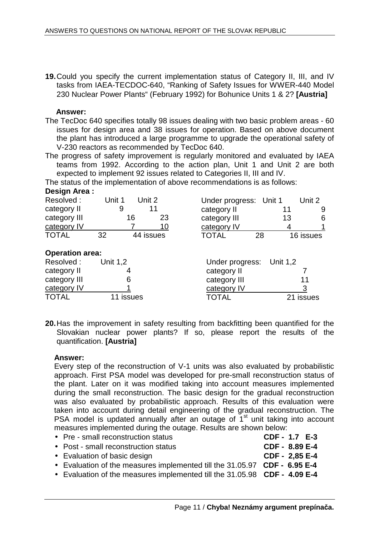**19.** Could you specify the current implementation status of Category II, III, and IV tasks from IAEA-TECDOC-640, "Ranking of Safety Issues for WWER-440 Model 230 Nuclear Power Plants" (February 1992) for Bohunice Units 1 & 2? **[Austria]** 

## **Answer:**

- The TecDoc 640 specifies totally 98 issues dealing with two basic problem areas 60 issues for design area and 38 issues for operation. Based on above document the plant has introduced a large programme to upgrade the operational safety of V-230 reactors as recommended by TecDoc 640.
- The progress of safety improvement is regularly monitored and evaluated by IAEA teams from 1992. According to the action plan, Unit 1 and Unit 2 are both expected to implement 92 issues related to Categories II, III and IV.

The status of the implementation of above recommendations is as follows:

| Design Area:           |                  |    |                        |          |           |
|------------------------|------------------|----|------------------------|----------|-----------|
| Resolved:              | Unit 2<br>Unit 1 |    | Under progress: Unit 1 |          | Unit 2    |
| category II            | 11<br>9          |    | category II            | 11       | 9         |
| category III           | 16               | 23 | category III           | 13       | 6         |
| category IV            |                  | 10 | category IV            | 4        |           |
| <b>TOTAL</b>           | 32<br>44 issues  |    | TOTAL                  | 28       | 16 issues |
| <b>Operation area:</b> |                  |    |                        |          |           |
| Resolved:              | Unit 1,2         |    | Under progress:        | Unit 1,2 |           |
| category II            | 4                |    | category II            |          |           |
| category III           | 6                |    | category III           |          | 11        |
| category IV            |                  |    | category IV            |          |           |
| <b>TOTAL</b>           | issues           |    | <b>TOTAL</b>           |          | 21 issues |

**20.** Has the improvement in safety resulting from backfitting been quantified for the Slovakian nuclear power plants? If so, please report the results of the quantification. **[Austria]** 

## **Answer:**

Every step of the reconstruction of V-1 units was also evaluated by probabilistic approach. First PSA model was developed for pre-small reconstruction status of the plant. Later on it was modified taking into account measures implemented during the small reconstruction. The basic design for the gradual reconstruction was also evaluated by probabilistic approach. Results of this evaluation were taken into account during detail engineering of the gradual reconstruction. The PSA model is updated annually after an outage of 1st unit taking into account measures implemented during the outage. Results are shown below:

| • Pre - small reconstruction status                                       | CDF - 1.7 E-3  |  |
|---------------------------------------------------------------------------|----------------|--|
| • Post - small reconstruction status                                      | CDF - 8.89 E-4 |  |
| • Evaluation of basic design                                              | CDF - 2,85 E-4 |  |
| • Evaluation of the measures implemented till the 31.05.97 CDF - 6.95 E-4 |                |  |
| • Evaluation of the measures implemented till the 31.05.98 CDF - 4.09 E-4 |                |  |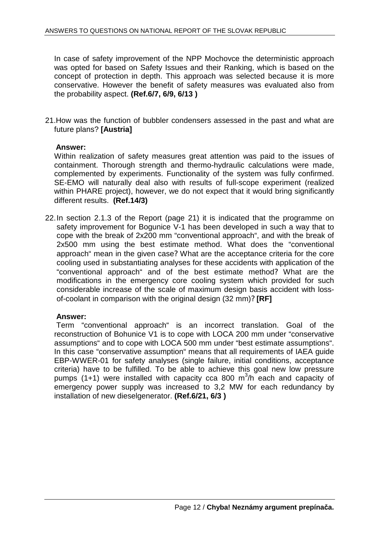In case of safety improvement of the NPP Mochovce the deterministic approach was opted for based on Safety Issues and their Ranking, which is based on the concept of protection in depth. This approach was selected because it is more conservative. However the benefit of safety measures was evaluated also from the probability aspect. **(Ref.6/7, 6/9, 6/13 )**

21.How was the function of bubbler condensers assessed in the past and what are future plans? **[Austria]** 

## **Answer:**

Within realization of safety measures great attention was paid to the issues of containment. Thorough strength and thermo-hydraulic calculations were made, complemented by experiments. Functionality of the system was fully confirmed. SE-EMO will naturally deal also with results of full-scope experiment (realized within PHARE project), however, we do not expect that it would bring significantly different results. **(Ref.14/3)** 

22. In section 2.1.3 of the Report (page 21) it is indicated that the programme on safety improvement for Bogunice V-1 has been developed in such a way that to cope with the break of 2x200 mm "conventional approach", and with the break of 2x500 mm using the best estimate method. What does the "conventional approach" mean in the given case? What are the acceptance criteria for the core cooling used in substantiating analyses for these accidents with application of the "conventional approach" and of the best estimate method? What are the modifications in the emergency core cooling system which provided for such considerable increase of the scale of maximum design basis accident with lossof-coolant in comparison with the original design (32 mm)? **[RF]** 

## **Answer:**

 Term "conventional approach" is an incorrect translation. Goal of the reconstruction of Bohunice V1 is to cope with LOCA 200 mm under "conservative assumptions" and to cope with LOCA 500 mm under "best estimate assumptions". In this case "conservative assumption" means that all requirements of IAEA guide EBP-WWER-01 for safety analyses (single failure, initial conditions, acceptance criteria) have to be fulfilled. To be able to achieve this goal new low pressure pumps (1+1) were installed with capacity cca 800  $m^3/n$  each and capacity of emergency power supply was increased to 3,2 MW for each redundancy by installation of new dieselgenerator. **(Ref.6/21, 6/3 )**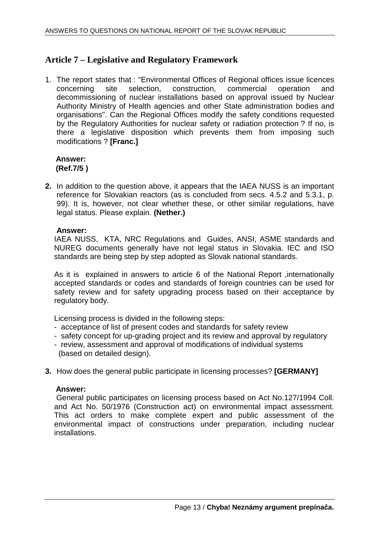## **Article 7 – Legislative and Regulatory Framework**

1. The report states that : "Environmental Offices of Regional offices issue licences concerning site selection, construction, commercial operation and decommissioning of nuclear installations based on approval issued by Nuclear Authority Ministry of Health agencies and other State administration bodies and organisations". Can the Regional Offices modify the safety conditions requested by the Regulatory Authorities for nuclear safety or radiation protection ? If no, is there a legislative disposition which prevents them from imposing such modifications ? **[Franc.]**

## **Answer: (Ref.7/5 )**

**2.** In addition to the question above, it appears that the IAEA NUSS is an important reference for Slovakian reactors (as is concluded from secs. 4.5.2 and 5.3.1, p. 99). It is, however, not clear whether these, or other similar regulations, have legal status. Please explain. **(Nether.)** 

## **Answer:**

IAEA NUSS, KTA, NRC Regulations and Guides, ANSI, ASME standards and NUREG documents generally have not legal status in Slovakia. IEC and ISO standards are being step by step adopted as Slovak national standards.

As it is explained in answers to article 6 of the National Report ,internationally accepted standards or codes and standards of foreign countries can be used for safety review and for safety upgrading process based on their acceptance by regulatory body.

Licensing process is divided in the following steps:

- acceptance of list of present codes and standards for safety review
- safety concept for up-grading project and its review and approval by regulatory
- review, assessment and approval of modifications of individual systems (based on detailed design).
- **3.** How does the general public participate in licensing processes? **[GERMANY]**

## **Answer:**

 General public participates on licensing process based on Act No.127/1994 Coll. and Act No. 50/1976 (Construction act) on environmental impact assessment. This act orders to make complete expert and public assessment of the environmental impact of constructions under preparation, including nuclear installations.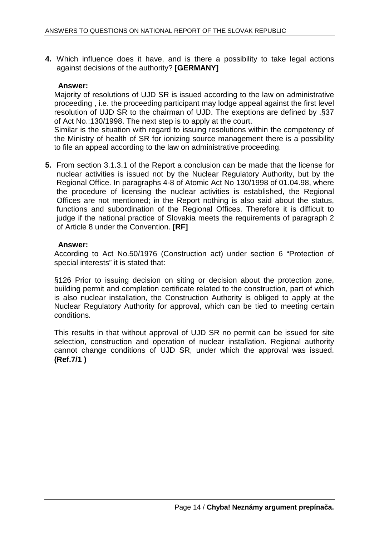**4.** Which influence does it have, and is there a possibility to take legal actions against decisions of the authority? **[GERMANY]** 

## **Answer:**

Majority of resolutions of UJD SR is issued according to the law on administrative proceeding , i.e. the proceeding participant may lodge appeal against the first level resolution of UJD SR to the chairman of UJD. The exeptions are defined by .§37 of Act No.:130/1998. The next step is to apply at the court.

Similar is the situation with regard to issuing resolutions within the competency of the Ministry of health of SR for ionizing source management there is a possibility to file an appeal according to the law on administrative proceeding.

**5.** From section 3.1.3.1 of the Report a conclusion can be made that the license for nuclear activities is issued not by the Nuclear Regulatory Authority, but by the Regional Office. In paragraphs 4-8 of Atomic Act No 130/1998 of 01.04.98, where the procedure of licensing the nuclear activities is established, the Regional Offices are not mentioned; in the Report nothing is also said about the status, functions and subordination of the Regional Offices. Therefore it is difficult to judge if the national practice of Slovakia meets the requirements of paragraph 2 of Article 8 under the Convention. **[RF]** 

## **Answer:**

According to Act No.50/1976 (Construction act) under section 6 "Protection of special interests" it is stated that:

§126 Prior to issuing decision on siting or decision about the protection zone, building permit and completion certificate related to the construction, part of which is also nuclear installation, the Construction Authority is obliged to apply at the Nuclear Regulatory Authority for approval, which can be tied to meeting certain conditions.

This results in that without approval of UJD SR no permit can be issued for site selection, construction and operation of nuclear installation. Regional authority cannot change conditions of UJD SR, under which the approval was issued. **(Ref.7/1 )**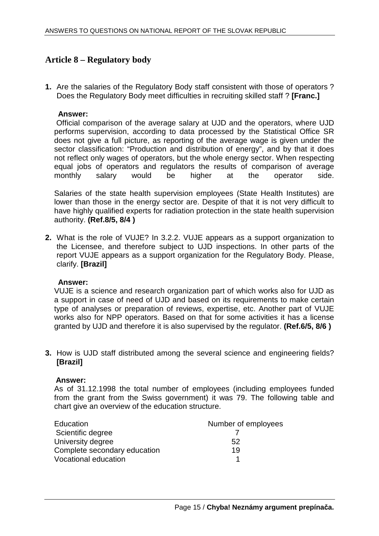## **Article 8 – Regulatory body**

**1.** Are the salaries of the Regulatory Body staff consistent with those of operators ? Does the Regulatory Body meet difficulties in recruiting skilled staff ? **[Franc.]** 

## **Answer:**

Official comparison of the average salary at UJD and the operators, where UJD performs supervision, according to data processed by the Statistical Office SR does not give a full picture, as reporting of the average wage is given under the sector classification: "Production and distribution of energy", and by that it does not reflect only wages of operators, but the whole energy sector. When respecting equal jobs of operators and regulators the results of comparison of average monthly salary would be higher at the operator side.

Salaries of the state health supervision employees (State Health Institutes) are lower than those in the energy sector are. Despite of that it is not very difficult to have highly qualified experts for radiation protection in the state health supervision authority. **(Ref.8/5, 8/4 )** 

**2.** What is the role of VUJE? In 3.2.2. VUJE appears as a support organization to the Licensee, and therefore subject to UJD inspections. In other parts of the report VUJE appears as a support organization for the Regulatory Body. Please, clarify. **[Brazil]** 

## **Answer:**

VUJE is a science and research organization part of which works also for UJD as a support in case of need of UJD and based on its requirements to make certain type of analyses or preparation of reviews, expertise, etc. Another part of VUJE works also for NPP operators. Based on that for some activities it has a license granted by UJD and therefore it is also supervised by the regulator. **(Ref.6/5, 8/6 )** 

**3.** How is UJD staff distributed among the several science and engineering fields? **[Brazil]** 

## **Answer:**

As of 31.12.1998 the total number of employees (including employees funded from the grant from the Swiss government) it was 79. The following table and chart give an overview of the education structure.

| Education                    | Number of employees |
|------------------------------|---------------------|
| Scientific degree            |                     |
| University degree            | 52                  |
| Complete secondary education | 19                  |
| Vocational education         |                     |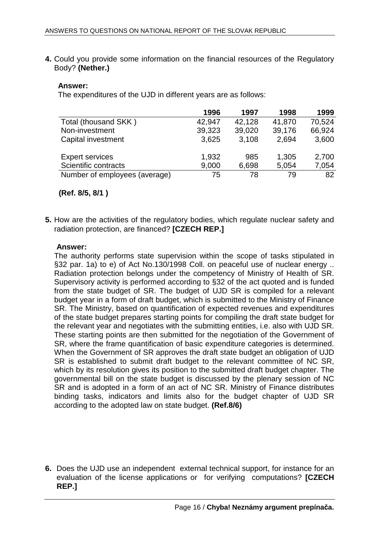**4.** Could you provide some information on the financial resources of the Regulatory Body? **(Nether.)** 

## **Answer:**

The expenditures of the UJD in different years are as follows:

|                               | 1996   | 1997   | 1998   | 1999   |
|-------------------------------|--------|--------|--------|--------|
| Total (thousand SKK)          | 42,947 | 42,128 | 41,870 | 70,524 |
| Non-investment                | 39,323 | 39,020 | 39,176 | 66,924 |
| Capital investment            | 3,625  | 3,108  | 2.694  | 3,600  |
| <b>Expert services</b>        | 1,932  | 985    | 1,305  | 2,700  |
| Scientific contracts          | 9,000  | 6,698  | 5,054  | 7,054  |
| Number of employees (average) | 75     | 78     | 79     | 82     |

**(Ref. 8/5, 8/1 )** 

**5.** How are the activities of the regulatory bodies, which regulate nuclear safety and radiation protection, are financed? **[CZECH REP.]** 

## **Answer:**

The authority performs state supervision within the scope of tasks stipulated in §32 par. 1a) to e) of Act No.130/1998 Coll. on peaceful use of nuclear energy .. Radiation protection belongs under the competency of Ministry of Health of SR. Supervisory activity is performed according to §32 of the act quoted and is funded from the state budget of SR. The budget of UJD SR is compiled for a relevant budget year in a form of draft budget, which is submitted to the Ministry of Finance SR. The Ministry, based on quantification of expected revenues and expenditures of the state budget prepares starting points for compiling the draft state budget for the relevant year and negotiates with the submitting entities, i.e. also with UJD SR. These starting points are then submitted for the negotiation of the Government of SR, where the frame quantification of basic expenditure categories is determined. When the Government of SR approves the draft state budget an obligation of UJD SR is established to submit draft budget to the relevant committee of NC SR, which by its resolution gives its position to the submitted draft budget chapter. The governmental bill on the state budget is discussed by the plenary session of NC SR and is adopted in a form of an act of NC SR. Ministry of Finance distributes binding tasks, indicators and limits also for the budget chapter of UJD SR according to the adopted law on state budget. **(Ref.8/6)** 

**6.** Does the UJD use an independent external technical support, for instance for an evaluation of the license applications or for verifying computations? **[CZECH REP.]**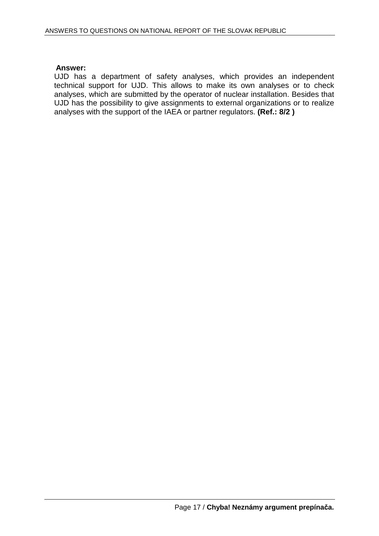## **Answer:**

UJD has a department of safety analyses, which provides an independent technical support for UJD. This allows to make its own analyses or to check analyses, which are submitted by the operator of nuclear installation. Besides that UJD has the possibility to give assignments to external organizations or to realize analyses with the support of the IAEA or partner regulators. **(Ref.: 8/2 )**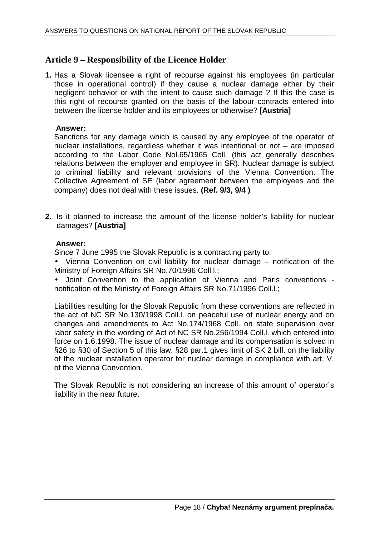## **Article 9 – Responsibility of the Licence Holder**

**1.** Has a Slovak licensee a right of recourse against his employees (in particular those in operational control) if they cause a nuclear damage either by their negligent behavior or with the intent to cause such damage ? If this the case is this right of recourse granted on the basis of the labour contracts entered into between the license holder and its employees or otherwise? **[Austria]** 

## **Answer:**

Sanctions for any damage which is caused by any employee of the operator of nuclear installations, regardless whether it was intentional or not – are imposed according to the Labor Code Nol.65/1965 Coll. (this act generally describes relations between the employer and employee in SR). Nuclear damage is subject to criminal liability and relevant provisions of the Vienna Convention. The Collective Agreement of SE (labor agreement between the employees and the company) does not deal with these issues. **(Ref. 9/3, 9/4 )**

**2.** Is it planned to increase the amount of the license holder's liability for nuclear damages? **[Austria]** 

## **Answer:**

Since 7 June 1995 the Slovak Republic is a contracting party to:

• Vienna Convention on civil liability for nuclear damage – notification of the Ministry of Foreign Affairs SR No.70/1996 Coll.l.;

• Joint Convention to the application of Vienna and Paris conventions notification of the Ministry of Foreign Affairs SR No.71/1996 Coll.l.;

Liabilities resulting for the Slovak Republic from these conventions are reflected in the act of NC SR No.130/1998 Coll.l. on peaceful use of nuclear energy and on changes and amendments to Act No.174/1968 Coll. on state supervision over labor safety in the wording of Act of NC SR No.256/1994 Coll.l. which entered into force on 1.6.1998. The issue of nuclear damage and its compensation is solved in §26 to §30 of Section 5 of this law. §28 par.1 gives limit of SK 2 bill. on the liability of the nuclear installation operator for nuclear damage in compliance with art. V. of the Vienna Convention.

The Slovak Republic is not considering an increase of this amount of operator´s liability in the near future.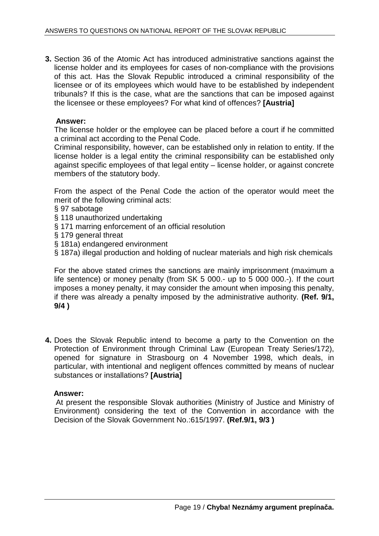**3.** Section 36 of the Atomic Act has introduced administrative sanctions against the license holder and its employees for cases of non-compliance with the provisions of this act. Has the Slovak Republic introduced a criminal responsibility of the licensee or of its employees which would have to be established by independent tribunals? If this is the case, what are the sanctions that can be imposed against the licensee or these employees? For what kind of offences? **[Austria]** 

## **Answer:**

The license holder or the employee can be placed before a court if he committed a criminal act according to the Penal Code.

Criminal responsibility, however, can be established only in relation to entity. If the license holder is a legal entity the criminal responsibility can be established only against specific employees of that legal entity – license holder, or against concrete members of the statutory body.

From the aspect of the Penal Code the action of the operator would meet the merit of the following criminal acts:

- § 97 sabotage
- § 118 unauthorized undertaking
- § 171 marring enforcement of an official resolution
- § 179 general threat
- § 181a) endangered environment
- § 187a) illegal production and holding of nuclear materials and high risk chemicals

For the above stated crimes the sanctions are mainly imprisonment (maximum a life sentence) or money penalty (from SK 5 000.- up to 5 000 000.-). If the court imposes a money penalty, it may consider the amount when imposing this penalty, if there was already a penalty imposed by the administrative authority. **(Ref. 9/1, 9/4 )**

**4.** Does the Slovak Republic intend to become a party to the Convention on the Protection of Environment through Criminal Law (European Treaty Series/172), opened for signature in Strasbourg on 4 November 1998, which deals, in particular, with intentional and negligent offences committed by means of nuclear substances or installations? **[Austria]** 

## **Answer:**

At present the responsible Slovak authorities (Ministry of Justice and Ministry of Environment) considering the text of the Convention in accordance with the Decision of the Slovak Government No.:615/1997. **(Ref.9/1, 9/3 )**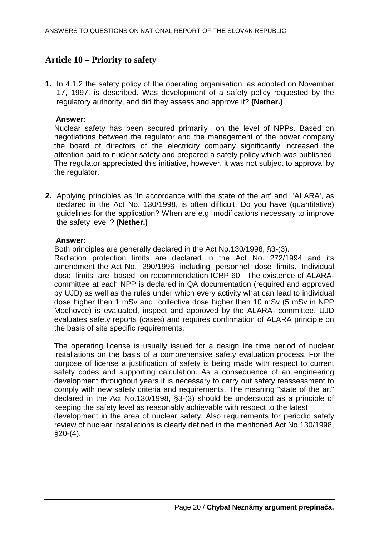## **Article 10 – Priority to safety**

**1.** In 4.1.2 the safety policy of the operating organisation, as adopted on November 17, 1997, is described. Was development of a safety policy requested by the regulatory authority, and did they assess and approve it? **(Nether.)** 

## **Answer:**

Nuclear safety has been secured primarily on the level of NPPs. Based on negotiations between the regulator and the management of the power company the board of directors of the electricity company significantly increased the attention paid to nuclear safety and prepared a safety policy which was published. The regulator appreciated this initiative, however, it was not subject to approval by the regulator.

**2.** Applying principles as 'In accordance with the state of the art' and 'ALARA', as declared in the Act No. 130/1998, is often difficult. Do you have (quantitative) guidelines for the application? When are e.g. modifications necessary to improve the safety level ? **(Nether.)** 

## **Answer:**

Both principles are generally declared in the Act No.130/1998, §3-(3).

Radiation protection limits are declared in the Act No. 272/1994 and its amendment the Act No. 290/1996 including personnel dose limits. Individual dose limits are based on recommendation ICRP 60. The existence of ALARAcommittee at each NPP is declared in QA documentation (required and approved by UJD) as well as the rules under which every activity what can lead to individual dose higher then 1 mSv and collective dose higher then 10 mSv (5 mSv in NPP Mochovce) is evaluated, inspect and approved by the ALARA- committee. UJD evaluates safety reports (cases) and requires confirmation of ALARA principle on the basis of site specific requirements.

The operating license is usually issued for a design life time period of nuclear installations on the basis of a comprehensive safety evaluation process. For the purpose of license a justification of safety is being made with respect to current safety codes and supporting calculation. As a consequence of an engineering development throughout years it is necessary to carry out safety reassessment to comply with new safety criteria and requirements. The meaning "state of the art" declared in the Act No.130/1998, §3-(3) should be understood as a principle of keeping the safety level as reasonably achievable with respect to the latest development in the area of nuclear safety. Also requirements for periodic safety review of nuclear installations is clearly defined in the mentioned Act No.130/1998,  $$20-(4).$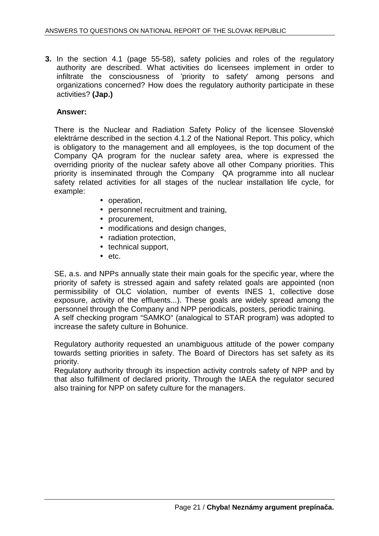**3.** In the section 4.1 (page 55-58), safety policies and roles of the regulatory authority are described. What activities do licensees implement in order to infiltrate the consciousness of 'priority to safety' among persons and organizations concerned? How does the regulatory authority participate in these activities? **(Jap.)** 

## **Answer:**

There is the Nuclear and Radiation Safety Policy of the licensee Slovenské elektrárne described in the section 4.1.2 of the National Report. This policy, which is obligatory to the management and all employees, is the top document of the Company QA program for the nuclear safety area, where is expressed the overriding priority of the nuclear safety above all other Company priorities. This priority is inseminated through the Company QA programme into all nuclear safety related activities for all stages of the nuclear installation life cycle, for example:

- operation,
- personnel recruitment and training,
- procurement,
- modifications and design changes,
- radiation protection,
- technical support,
- etc.

SE, a.s. and NPPs annually state their main goals for the specific year, where the priority of safety is stressed again and safety related goals are appointed (non permissibility of OLC violation, number of events INES 1, collective dose exposure, activity of the effluents...). These goals are widely spread among the personnel through the Company and NPP periodicals, posters, periodic training. A self checking program "SAMKO" (analogical to STAR program) was adopted to increase the safety culture in Bohunice.

Regulatory authority requested an unambiguous attitude of the power company towards setting priorities in safety. The Board of Directors has set safety as its priority.

Regulatory authority through its inspection activity controls safety of NPP and by that also fulfillment of declared priority. Through the IAEA the regulator secured also training for NPP on safety culture for the managers.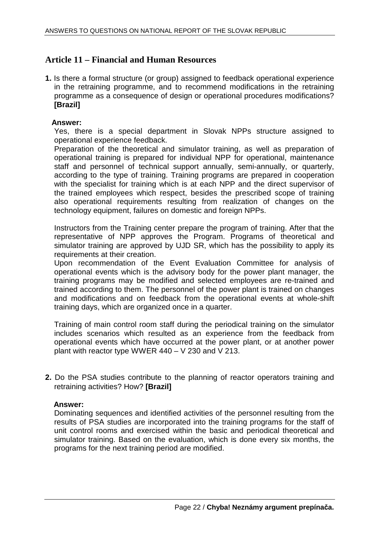## **Article 11 – Financial and Human Resources**

**1.** Is there a formal structure (or group) assigned to feedback operational experience in the retraining programme, and to recommend modifications in the retraining programme as a consequence of design or operational procedures modifications? **[Brazil]** 

## **Answer:**

Yes, there is a special department in Slovak NPPs structure assigned to operational experience feedback.

Preparation of the theoretical and simulator training, as well as preparation of operational training is prepared for individual NPP for operational, maintenance staff and personnel of technical support annually, semi-annually, or quarterly, according to the type of training. Training programs are prepared in cooperation with the specialist for training which is at each NPP and the direct supervisor of the trained employees which respect, besides the prescribed scope of training also operational requirements resulting from realization of changes on the technology equipment, failures on domestic and foreign NPPs.

Instructors from the Training center prepare the program of training. After that the representative of NPP approves the Program. Programs of theoretical and simulator training are approved by UJD SR, which has the possibility to apply its requirements at their creation.

Upon recommendation of the Event Evaluation Committee for analysis of operational events which is the advisory body for the power plant manager, the training programs may be modified and selected employees are re-trained and trained according to them. The personnel of the power plant is trained on changes and modifications and on feedback from the operational events at whole-shift training days, which are organized once in a quarter.

Training of main control room staff during the periodical training on the simulator includes scenarios which resulted as an experience from the feedback from operational events which have occurred at the power plant, or at another power plant with reactor type WWER 440 – V 230 and V 213.

**2.** Do the PSA studies contribute to the planning of reactor operators training and retraining activities? How? **[Brazil]** 

## **Answer:**

Dominating sequences and identified activities of the personnel resulting from the results of PSA studies are incorporated into the training programs for the staff of unit control rooms and exercised within the basic and periodical theoretical and simulator training. Based on the evaluation, which is done every six months, the programs for the next training period are modified.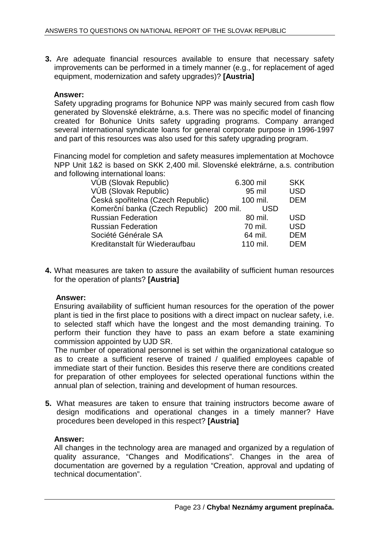**3.** Are adequate financial resources available to ensure that necessary safety improvements can be performed in a timely manner (e.g., for replacement of aged equipment, modernization and safety upgrades)? **[Austria]** 

## **Answer:**

Safety upgrading programs for Bohunice NPP was mainly secured from cash flow generated by Slovenské elektrárne, a.s. There was no specific model of financing created for Bohunice Units safety upgrading programs. Company arranged several international syndicate loans for general corporate purpose in 1996-1997 and part of this resources was also used for this safety upgrading program.

 Financing model for completion and safety measures implementation at Mochovce NPP Unit 1&2 is based on SKK 2,400 mil. Slovenské elektrárne, a.s. contribution and following international loans:

| VÚB (Slovak Republic)                    | 6.300 mil | <b>SKK</b> |
|------------------------------------------|-----------|------------|
| VÚB (Slovak Republic)                    | 95 mil    | <b>USD</b> |
| Česká spořitelna (Czech Republic)        | 100 mil.  | <b>DEM</b> |
| Komerční banka (Czech Republic) 200 mil. | USD       |            |
| <b>Russian Federation</b>                | 80 mil.   | <b>USD</b> |
| <b>Russian Federation</b>                | 70 mil.   | <b>USD</b> |
| Société Générale SA                      | 64 mil.   | DEM        |
| Kreditanstalt für Wiederaufbau           | 110 mil.  | DEM        |
|                                          |           |            |

**4.** What measures are taken to assure the availability of sufficient human resources for the operation of plants? **[Austria]** 

## **Answer:**

Ensuring availability of sufficient human resources for the operation of the power plant is tied in the first place to positions with a direct impact on nuclear safety, i.e. to selected staff which have the longest and the most demanding training. To perform their function they have to pass an exam before a state examining commission appointed by UJD SR.

The number of operational personnel is set within the organizational catalogue so as to create a sufficient reserve of trained / qualified employees capable of immediate start of their function. Besides this reserve there are conditions created for preparation of other employees for selected operational functions within the annual plan of selection, training and development of human resources.

**5.** What measures are taken to ensure that training instructors become aware of design modifications and operational changes in a timely manner? Have procedures been developed in this respect? **[Austria]** 

## **Answer:**

All changes in the technology area are managed and organized by a regulation of quality assurance, "Changes and Modifications". Changes in the area of documentation are governed by a regulation "Creation, approval and updating of technical documentation".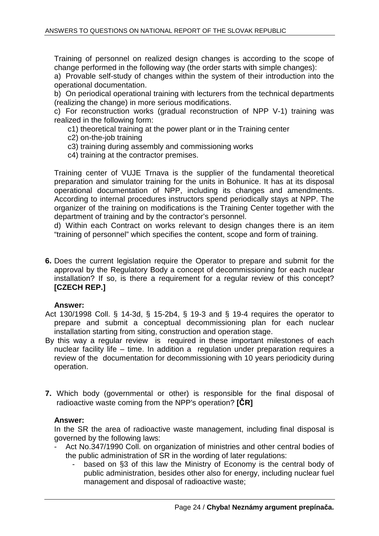Training of personnel on realized design changes is according to the scope of change performed in the following way (the order starts with simple changes):

a) Provable self-study of changes within the system of their introduction into the operational documentation.

b) On periodical operational training with lecturers from the technical departments (realizing the change) in more serious modifications.

c) For reconstruction works (gradual reconstruction of NPP V-1) training was realized in the following form:

c1) theoretical training at the power plant or in the Training center

- c2) on-the-job training
- c3) training during assembly and commissioning works
- c4) training at the contractor premises.

Training center of VUJE Trnava is the supplier of the fundamental theoretical preparation and simulator training for the units in Bohunice. It has at its disposal operational documentation of NPP, including its changes and amendments. According to internal procedures instructors spend periodically stays at NPP. The organizer of the training on modifications is the Training Center together with the department of training and by the contractor's personnel.

d) Within each Contract on works relevant to design changes there is an item "training of personnel" which specifies the content, scope and form of training.

**6.** Does the current legislation require the Operator to prepare and submit for the approval by the Regulatory Body a concept of decommissioning for each nuclear installation? If so, is there a requirement for a regular review of this concept? **[CZECH REP.]** 

## **Answer:**

- Act 130/1998 Coll. § 14-3d, § 15-2b4, § 19-3 and § 19-4 requires the operator to prepare and submit a conceptual decommissioning plan for each nuclear installation starting from siting, construction and operation stage.
- By this way a regular review is required in these important milestones of each nuclear facility life – time. In addition a regulation under preparation requires a review of the documentation for decommissioning with 10 years periodicity during operation.
- **7.** Which body (governmental or other) is responsible for the final disposal of radioactive waste coming from the NPP's operation? **[**Č**R]**

## **Answer:**

In the SR the area of radioactive waste management, including final disposal is governed by the following laws:

- Act No.347/1990 Coll. on organization of ministries and other central bodies of the public administration of SR in the wording of later regulations:
	- based on §3 of this law the Ministry of Economy is the central body of public administration, besides other also for energy, including nuclear fuel management and disposal of radioactive waste;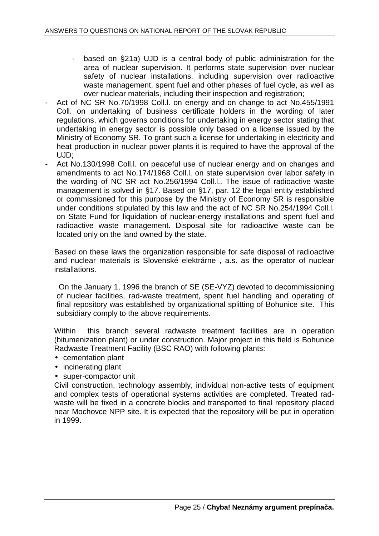- based on §21a) UJD is a central body of public administration for the area of nuclear supervision. It performs state supervision over nuclear safety of nuclear installations, including supervision over radioactive waste management, spent fuel and other phases of fuel cycle, as well as over nuclear materials, including their inspection and registration;
- Act of NC SR No.70/1998 Coll. I on energy and on change to act No.455/1991 Coll. on undertaking of business certificate holders in the wording of later regulations, which governs conditions for undertaking in energy sector stating that undertaking in energy sector is possible only based on a license issued by the Ministry of Economy SR. To grant such a license for undertaking in electricity and heat production in nuclear power plants it is required to have the approval of the UJD;
- Act No.130/1998 Coll. on peaceful use of nuclear energy and on changes and amendments to act No.174/1968 Coll.l. on state supervision over labor safety in the wording of NC SR act No.256/1994 Coll.l.. The issue of radioactive waste management is solved in §17. Based on §17, par. 12 the legal entity established or commissioned for this purpose by the Ministry of Economy SR is responsible under conditions stipulated by this law and the act of NC SR No.254/1994 Coll.l. on State Fund for liquidation of nuclear-energy installations and spent fuel and radioactive waste management. Disposal site for radioactive waste can be located only on the land owned by the state.

Based on these laws the organization responsible for safe disposal of radioactive and nuclear materials is Slovenské elektrárne , a.s. as the operator of nuclear installations.

On the January 1, 1996 the branch of SE (SE-VYZ) devoted to decommissioning of nuclear facilities, rad-waste treatment, spent fuel handling and operating of final repository was established by organizational splitting of Bohunice site. This subsidiary comply to the above requirements.

Within this branch several radwaste treatment facilities are in operation (bitumenization plant) or under construction. Major project in this field is Bohunice Radwaste Treatment Facility (BSC RAO) with following plants:

- cementation plant
- incinerating plant
- super-compactor unit

Civil construction, technology assembly, individual non-active tests of equipment and complex tests of operational systems activities are completed. Treated radwaste will be fixed in a concrete blocks and transported to final repository placed near Mochovce NPP site. It is expected that the repository will be put in operation in 1999.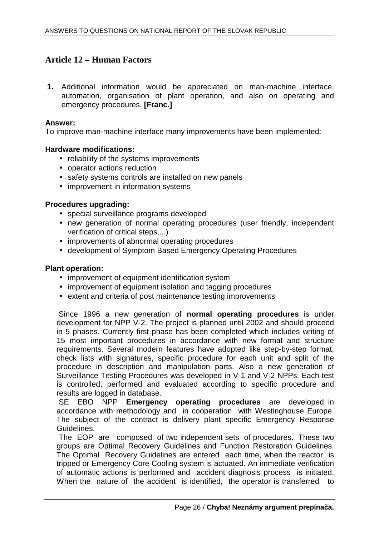## **Article 12 – Human Factors**

**1.** Additional information would be appreciated on man-machine interface, automation, organisation of plant operation, and also on operating and emergency procedures. **[Franc.]** 

## **Answer:**

To improve man-machine interface many improvements have been implemented:

## **Hardware modifications:**

- reliability of the systems improvements
- operator actions reduction
- safety systems controls are installed on new panels
- improvement in information systems

## **Procedures upgrading:**

- special surveillance programs developed
- new generation of normal operating procedures (user friendly, independent verification of critical steps,...)
- improvements of abnormal operating procedures
- development of Symptom Based Emergency Operating Procedures

## **Plant operation:**

- improvement of equipment identification system
- improvement of equipment isolation and tagging procedures
- extent and criteria of post maintenance testing improvements

Since 1996 a new generation of **normal operating procedures** is under development for NPP V-2. The project is planned until 2002 and should proceed in 5 phases. Currently first phase has been completed which includes writing of 15 most important procedures in accordance with new format and structure requirements. Several modern features have adopted like step-by-step format, check lists with signatures, specific procedure for each unit and split of the procedure in description and manipulation parts. Also a new generation of Surveillance Testing Procedures was developed in V-1 and V-2 NPPs. Each test is controlled, performed and evaluated according to specific procedure and results are logged in database.

SE EBO NPP **Emergency operating procedures** are developed in accordance with methodology and in cooperation with Westinghouse Europe. The subject of the contract is delivery plant specific Emergency Response Guidelines.

The EOP are composed of two independent sets of procedures. These two groups are Optimal Recovery Guidelines and Function Restoration Guidelines. The Optimal Recovery Guidelines are entered each time, when the reactor is tripped or Emergency Core Cooling system is actuated. An immediate verification of automatic actions is performed and accident diagnosis process is initiated. When the nature of the accident is identified, the operator is transferred to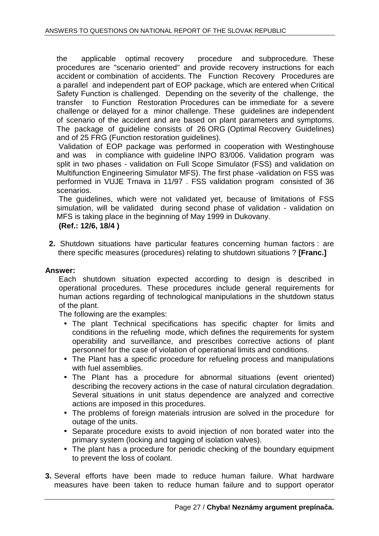the applicable optimal recovery procedure and subprocedure. These procedures are "scenario oriented" and provide recovery instructions for each accident or combination of accidents. The Function Recovery Procedures are a parallel and independent part of EOP package, which are entered when Critical Safety Function is challenged. Depending on the severity of the challenge, the transfer to Function Restoration Procedures can be immediate for a severe challenge or delayed for a minor challenge. These guidelines are independent of scenario of the accident and are based on plant parameters and symptoms. The package of guideline consists of 26 ORG (Optimal Recovery Guidelines) and of 25 FRG (Function restoration guidelines).

Validation of EOP package was performed in cooperation with Westinghouse and was in compliance with guideline INPO 83/006. Validation program was split in two phases - validation on Full Scope Simulator (FSS) and validation on Multifunction Engineering Simulator MFS). The first phase -validation on FSS was performed in VUJE Trnava in 11/97 . FSS validation program consisted of 36 scenarios.

The guidelines, which were not validated yet, because of limitations of FSS simulation, will be validated during second phase of validation - validation on MFS is taking place in the beginning of May 1999 in Dukovany.

**(Ref.: 12/6, 18/4 )** 

**2.** Shutdown situations have particular features concerning human factors : are there specific measures (procedures) relating to shutdown situations ? **[Franc.]** 

## **Answer:**

Each shutdown situation expected according to design is described in operational procedures. These procedures include general requirements for human actions regarding of technological manipulations in the shutdown status of the plant.

The following are the examples:

- The plant Technical specifications has specific chapter for limits and conditions in the refueling mode, which defines the requirements for system operability and surveillance, and prescribes corrective actions of plant personnel for the case of violation of operational limits and conditions.
- The Plant has a specific procedure for refueling process and manipulations with fuel assemblies.
- The Plant has a procedure for abnormal situations (event oriented) describing the recovery actions in the case of natural circulation degradation. Several situations in unit status dependence are analyzed and corrective actions are imposed in this procedures.
- The problems of foreign materials intrusion are solved in the procedure for outage of the units.
- Separate procedure exists to avoid injection of non borated water into the primary system (locking and tagging of isolation valves).
- The plant has a procedure for periodic checking of the boundary equipment to prevent the loss of coolant.
- **3.** Several efforts have been made to reduce human failure. What hardware measures have been taken to reduce human failure and to support operator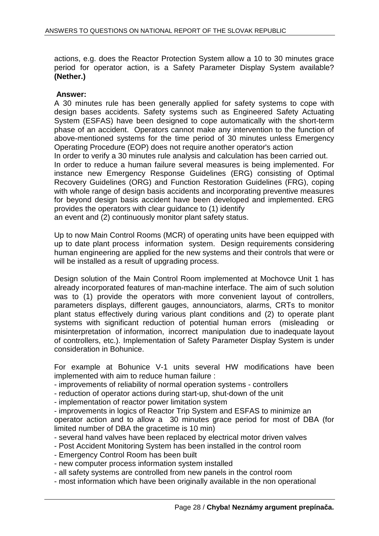actions, e.g. does the Reactor Protection System allow a 10 to 30 minutes grace period for operator action, is a Safety Parameter Display System available? **(Nether.)** 

## **Answer:**

A 30 minutes rule has been generally applied for safety systems to cope with design bases accidents. Safety systems such as Engineered Safety Actuating System (ESFAS) have been designed to cope automatically with the short-term phase of an accident. Operators cannot make any intervention to the function of above-mentioned systems for the time period of 30 minutes unless Emergency Operating Procedure (EOP) does not require another operator's action

In order to verify a 30 minutes rule analysis and calculation has been carried out.

In order to reduce a human failure several measures is being implemented. For instance new Emergency Response Guidelines (ERG) consisting of Optimal Recovery Guidelines (ORG) and Function Restoration Guidelines (FRG), coping with whole range of design basis accidents and incorporating preventive measures for beyond design basis accident have been developed and implemented. ERG provides the operators with clear guidance to (1) identify

an event and (2) continuously monitor plant safety status.

Up to now Main Control Rooms (MCR) of operating units have been equipped with up to date plant process information system. Design requirements considering human engineering are applied for the new systems and their controls that were or will be installed as a result of upgrading process.

Design solution of the Main Control Room implemented at Mochovce Unit 1 has already incorporated features of man-machine interface. The aim of such solution was to (1) provide the operators with more convenient layout of controllers, parameters displays, different gauges, announciators, alarms, CRTs to monitor plant status effectively during various plant conditions and (2) to operate plant systems with significant reduction of potential human errors (misleading or misinterpretation of information, incorrect manipulation due to inadequate layout of controllers, etc.). Implementation of Safety Parameter Display System is under consideration in Bohunice.

For example at Bohunice V-1 units several HW modifications have been implemented with aim to reduce human failure :

- improvements of reliability of normal operation systems controllers
- reduction of operator actions during start-up, shut-down of the unit
- implementation of reactor power limitation system
- improvements in logics of Reactor Trip System and ESFAS to minimize an operator action and to allow a 30 minutes grace period for most of DBA (for limited number of DBA the gracetime is 10 min)
- several hand valves have been replaced by electrical motor driven valves
- Post Accident Monitoring System has been installed in the control room
- Emergency Control Room has been built
- new computer process information system installed
- all safety systems are controlled from new panels in the control room
- most information which have been originally available in the non operational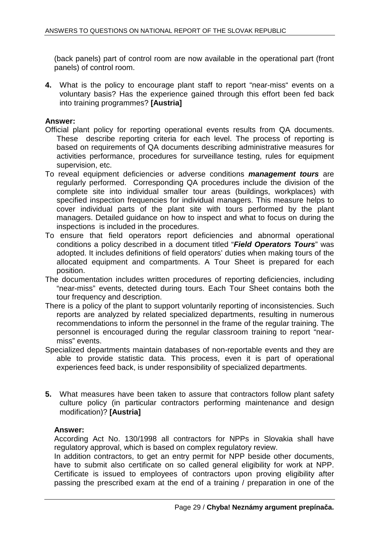(back panels) part of control room are now available in the operational part (front panels) of control room.

**4.** What is the policy to encourage plant staff to report "near-miss" events on a voluntary basis? Has the experience gained through this effort been fed back into training programmes? **[Austria]** 

## **Answer:**

- Official plant policy for reporting operational events results from QA documents. These describe reporting criteria for each level. The process of reporting is based on requirements of QA documents describing administrative measures for activities performance, procedures for surveillance testing, rules for equipment supervision, etc.
- To reveal equipment deficiencies or adverse conditions **management tours** are regularly performed. Corresponding QA procedures include the division of the complete site into individual smaller tour areas (buildings, workplaces) with specified inspection frequencies for individual managers. This measure helps to cover individual parts of the plant site with tours performed by the plant managers. Detailed guidance on how to inspect and what to focus on during the inspections is included in the procedures.
- To ensure that field operators report deficiencies and abnormal operational conditions a policy described in a document titled "**Field Operators Tours**" was adopted. It includes definitions of field operators' duties when making tours of the allocated equipment and compartments. A Tour Sheet is prepared for each position.
- The documentation includes written procedures of reporting deficiencies, including "near-miss" events, detected during tours. Each Tour Sheet contains both the tour frequency and description.
- There is a policy of the plant to support voluntarily reporting of inconsistencies. Such reports are analyzed by related specialized departments, resulting in numerous recommendations to inform the personnel in the frame of the regular training. The personnel is encouraged during the regular classroom training to report "nearmiss" events.
- Specialized departments maintain databases of non-reportable events and they are able to provide statistic data. This process, even it is part of operational experiences feed back, is under responsibility of specialized departments.
- **5.** What measures have been taken to assure that contractors follow plant safety culture policy (in particular contractors performing maintenance and design modification)? **[Austria]**

## **Answer:**

According Act No. 130/1998 all contractors for NPPs in Slovakia shall have regulatory approval, which is based on complex regulatory review.

In addition contractors, to get an entry permit for NPP beside other documents, have to submit also certificate on so called general eligibility for work at NPP. Certificate is issued to employees of contractors upon proving eligibility after passing the prescribed exam at the end of a training / preparation in one of the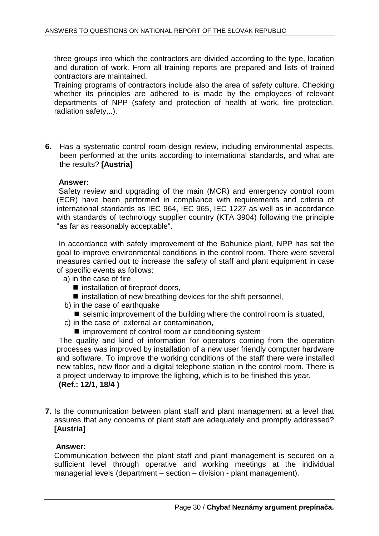three groups into which the contractors are divided according to the type, location and duration of work. From all training reports are prepared and lists of trained contractors are maintained.

Training programs of contractors include also the area of safety culture. Checking whether its principles are adhered to is made by the employees of relevant departments of NPP (safety and protection of health at work, fire protection, radiation safety,..).

**6.** Has a systematic control room design review, including environmental aspects, been performed at the units according to international standards, and what are the results? **[Austria]** 

## **Answer:**

Safety review and upgrading of the main (MCR) and emergency control room (ECR) have been performed in compliance with requirements and criteria of international standards as IEC 964, IEC 965, IEC 1227 as well as in accordance with standards of technology supplier country (KTA 3904) following the principle "as far as reasonably acceptable".

In accordance with safety improvement of the Bohunice plant, NPP has set the goal to improve environmental conditions in the control room. There were several measures carried out to increase the safety of staff and plant equipment in case of specific events as follows:

- a) in the case of fire
	- installation of fireproof doors,
	- $\blacksquare$  installation of new breathing devices for the shift personnel,
- b) in the case of earthquake
	- $\blacksquare$  seismic improvement of the building where the control room is situated,
- c) in the case of external air contamination,
	- $\blacksquare$  improvement of control room air conditioning system

The quality and kind of information for operators coming from the operation processes was improved by installation of a new user friendly computer hardware and software. To improve the working conditions of the staff there were installed new tables, new floor and a digital telephone station in the control room. There is a project underway to improve the lighting, which is to be finished this year.

## **(Ref.: 12/1, 18/4 )**

**7.** Is the communication between plant staff and plant management at a level that assures that any concerns of plant staff are adequately and promptly addressed? **[Austria]** 

## **Answer:**

Communication between the plant staff and plant management is secured on a sufficient level through operative and working meetings at the individual managerial levels (department – section – division - plant management).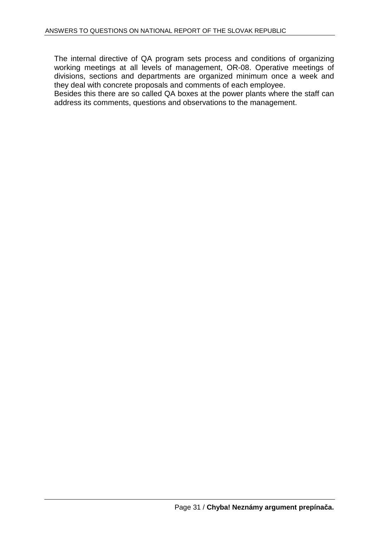The internal directive of QA program sets process and conditions of organizing working meetings at all levels of management, OR-08. Operative meetings of divisions, sections and departments are organized minimum once a week and they deal with concrete proposals and comments of each employee.

Besides this there are so called QA boxes at the power plants where the staff can address its comments, questions and observations to the management.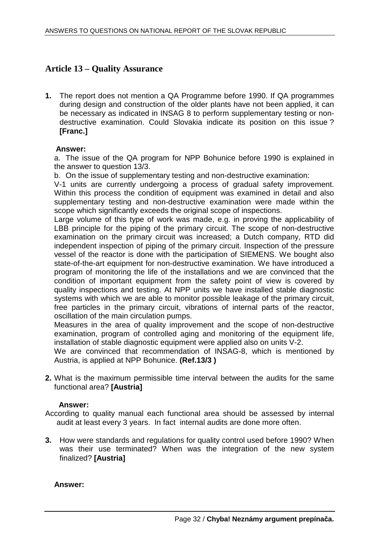## **Article 13 – Quality Assurance**

**1.** The report does not mention a QA Programme before 1990. If QA programmes during design and construction of the older plants have not been applied, it can be necessary as indicated in INSAG 8 to perform supplementary testing or nondestructive examination. Could Slovakia indicate its position on this issue ? **[Franc.]** 

## **Answer:**

a. The issue of the QA program for NPP Bohunice before 1990 is explained in the answer to question 13/3.

b. On the issue of supplementary testing and non-destructive examination:

V-1 units are currently undergoing a process of gradual safety improvement. Within this process the condition of equipment was examined in detail and also supplementary testing and non-destructive examination were made within the scope which significantly exceeds the original scope of inspections.

Large volume of this type of work was made, e.g. in proving the applicability of LBB principle for the piping of the primary circuit. The scope of non-destructive examination on the primary circuit was increased; a Dutch company, RTD did independent inspection of piping of the primary circuit. Inspection of the pressure vessel of the reactor is done with the participation of SIEMENS. We bought also state-of-the-art equipment for non-destructive examination. We have introduced a program of monitoring the life of the installations and we are convinced that the condition of important equipment from the safety point of view is covered by quality inspections and testing. At NPP units we have installed stable diagnostic systems with which we are able to monitor possible leakage of the primary circuit, free particles in the primary circuit, vibrations of internal parts of the reactor, oscillation of the main circulation pumps.

Measures in the area of quality improvement and the scope of non-destructive examination, program of controlled aging and monitoring of the equipment life, installation of stable diagnostic equipment were applied also on units V-2.

We are convinced that recommendation of INSAG-8, which is mentioned by Austria, is applied at NPP Bohunice. **(Ref.13/3 )** 

**2.** What is the maximum permissible time interval between the audits for the same functional area? **[Austria]** 

## **Answer:**

According to quality manual each functional area should be assessed by internal audit at least every 3 years. In fact internal audits are done more often.

**3.** How were standards and regulations for quality control used before 1990? When was their use terminated? When was the integration of the new system finalized? **[Austria]** 

**Answer:**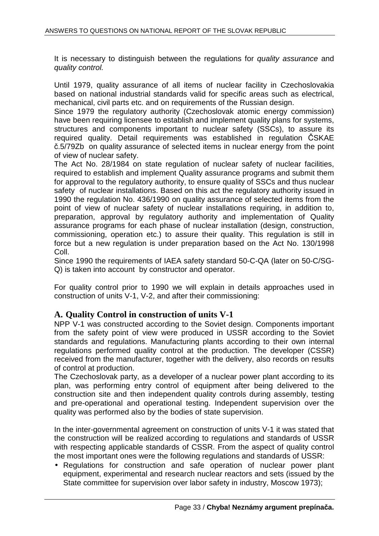It is necessary to distinguish between the regulations for quality assurance and quality control.

Until 1979, quality assurance of all items of nuclear facility in Czechoslovakia based on national industrial standards valid for specific areas such as electrical, mechanical, civil parts etc. and on requirements of the Russian design.

Since 1979 the regulatory authority (Czechoslovak atomic energy commission) have been requiring licensee to establish and implement quality plans for systems, structures and components important to nuclear safety (SSCs), to assure its required quality. Detail requirements was established in regulation ČSKAE č.5/79Zb on quality assurance of selected items in nuclear energy from the point of view of nuclear safety.

The Act No. 28/1984 on state regulation of nuclear safety of nuclear facilities, required to establish and implement Quality assurance programs and submit them for approval to the regulatory authority, to ensure quality of SSCs and thus nuclear safety of nuclear installations. Based on this act the regulatory authority issued in 1990 the regulation No. 436/1990 on quality assurance of selected items from the point of view of nuclear safety of nuclear installations requiring, in addition to, preparation, approval by regulatory authority and implementation of Quality assurance programs for each phase of nuclear installation (design, construction, commissioning, operation etc.) to assure their quality. This regulation is still in force but a new regulation is under preparation based on the Act No. 130/1998 Coll.

Since 1990 the requirements of IAEA safety standard 50-C-QA (later on 50-C/SG-Q) is taken into account by constructor and operator.

For quality control prior to 1990 we will explain in details approaches used in construction of units V-1, V-2, and after their commissioning:

## **A. Quality Control in construction of units V-1**

NPP V-1 was constructed according to the Soviet design. Components important from the safety point of view were produced in USSR according to the Soviet standards and regulations. Manufacturing plants according to their own internal regulations performed quality control at the production. The developer (CSSR) received from the manufacturer, together with the delivery, also records on results of control at production.

The Czechoslovak party, as a developer of a nuclear power plant according to its plan, was performing entry control of equipment after being delivered to the construction site and then independent quality controls during assembly, testing and pre-operational and operational testing. Independent supervision over the quality was performed also by the bodies of state supervision.

In the inter-governmental agreement on construction of units V-1 it was stated that the construction will be realized according to regulations and standards of USSR with respecting applicable standards of CSSR. From the aspect of quality control the most important ones were the following regulations and standards of USSR:

• Regulations for construction and safe operation of nuclear power plant equipment, experimental and research nuclear reactors and sets (issued by the State committee for supervision over labor safety in industry, Moscow 1973);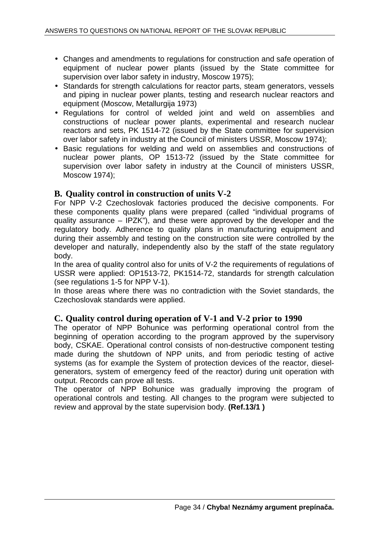- Changes and amendments to regulations for construction and safe operation of equipment of nuclear power plants (issued by the State committee for supervision over labor safety in industry, Moscow 1975):
- Standards for strength calculations for reactor parts, steam generators, vessels and piping in nuclear power plants, testing and research nuclear reactors and equipment (Moscow, Metallurgija 1973)
- Regulations for control of welded joint and weld on assemblies and constructions of nuclear power plants, experimental and research nuclear reactors and sets, PK 1514-72 (issued by the State committee for supervision over labor safety in industry at the Council of ministers USSR, Moscow 1974);
- Basic regulations for welding and weld on assemblies and constructions of nuclear power plants, OP 1513-72 (issued by the State committee for supervision over labor safety in industry at the Council of ministers USSR, Moscow 1974);

## **B. Quality control in construction of units V-2**

For NPP V-2 Czechoslovak factories produced the decisive components. For these components quality plans were prepared (called "individual programs of quality assurance – IPZK"), and these were approved by the developer and the regulatory body. Adherence to quality plans in manufacturing equipment and during their assembly and testing on the construction site were controlled by the developer and naturally, independently also by the staff of the state regulatory body.

In the area of quality control also for units of V-2 the requirements of regulations of USSR were applied: OP1513-72, PK1514-72, standards for strength calculation (see regulations 1-5 for NPP V-1).

In those areas where there was no contradiction with the Soviet standards, the Czechoslovak standards were applied.

## **C. Quality control during operation of V-1 and V-2 prior to 1990**

The operator of NPP Bohunice was performing operational control from the beginning of operation according to the program approved by the supervisory body, CSKAE. Operational control consists of non-destructive component testing made during the shutdown of NPP units, and from periodic testing of active systems (as for example the System of protection devices of the reactor, dieselgenerators, system of emergency feed of the reactor) during unit operation with output. Records can prove all tests.

The operator of NPP Bohunice was gradually improving the program of operational controls and testing. All changes to the program were subjected to review and approval by the state supervision body. **(Ref.13/1 )**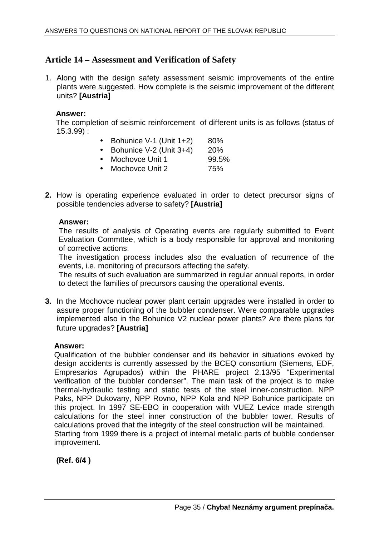## **Article 14 – Assessment and Verification of Safety**

1. Along with the design safety assessment seismic improvements of the entire plants were suggested. How complete is the seismic improvement of the different units? **[Austria]** 

## **Answer:**

 The completion of seismic reinforcement of different units is as follows (status of 15.3.99) :

- Bohunice V-1 (Unit  $1+2$ ) 80%
- Bohunice V-2 (Unit  $3+4$ ) 20%
- Mochovce Unit 1 99.5%
- Mochovce Unit 2 75%
- **2.** How is operating experience evaluated in order to detect precursor signs of possible tendencies adverse to safety? **[Austria]**

## **Answer:**

The results of analysis of Operating events are regularly submitted to Event Evaluation Commttee, which is a body responsible for approval and monitoring of corrective actions.

The investigation process includes also the evaluation of recurrence of the events, i.e. monitoring of precursors affecting the safety.

The results of such evaluation are summarized in regular annual reports, in order to detect the families of precursors causing the operational events.

**3.** In the Mochovce nuclear power plant certain upgrades were installed in order to assure proper functioning of the bubbler condenser. Were comparable upgrades implemented also in the Bohunice V2 nuclear power plants? Are there plans for future upgrades? **[Austria]** 

## **Answer:**

Qualification of the bubbler condenser and its behavior in situations evoked by design accidents is currently assessed by the BCEQ consortium (Siemens, EDF, Empresarios Agrupados) within the PHARE project 2.13/95 "Experimental verification of the bubbler condenser". The main task of the project is to make thermal-hydraulic testing and static tests of the steel inner-construction. NPP Paks, NPP Dukovany, NPP Rovno, NPP Kola and NPP Bohunice participate on this project. In 1997 SE-EBO in cooperation with VUEZ Levice made strength calculations for the steel inner construction of the bubbler tower. Results of calculations proved that the integrity of the steel construction will be maintained. Starting from 1999 there is a project of internal metalic parts of bubble condenser improvement.

**(Ref. 6/4 )**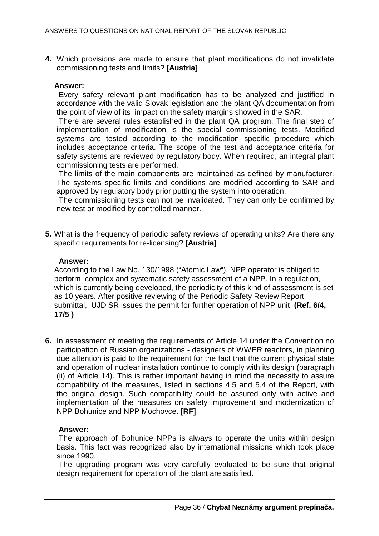**4.** Which provisions are made to ensure that plant modifications do not invalidate commissioning tests and limits? **[Austria]** 

## **Answer:**

Every safety relevant plant modification has to be analyzed and justified in accordance with the valid Slovak legislation and the plant QA documentation from the point of view of its impact on the safety margins showed in the SAR.

There are several rules established in the plant QA program. The final step of implementation of modification is the special commissioning tests. Modified systems are tested according to the modification specific procedure which includes acceptance criteria. The scope of the test and acceptance criteria for safety systems are reviewed by regulatory body. When required, an integral plant commissioning tests are performed.

The limits of the main components are maintained as defined by manufacturer. The systems specific limits and conditions are modified according to SAR and approved by regulatory body prior putting the system into operation.

The commissioning tests can not be invalidated. They can only be confirmed by new test or modified by controlled manner.

**5.** What is the frequency of periodic safety reviews of operating units? Are there any specific requirements for re-licensing? **[Austria]** 

## **Answer:**

According to the Law No. 130/1998 ("Atomic Law"), NPP operator is obliged to perform complex and systematic safety assessment of a NPP. In a regulation, which is currently being developed, the periodicity of this kind of assessment is set as 10 years. After positive reviewing of the Periodic Safety Review Report submittal, UJD SR issues the permit for further operation of NPP unit **(Ref. 6/4, 17/5 )**

**6.** In assessment of meeting the requirements of Article 14 under the Convention no participation of Russian organizations - designers of WWER reactors, in planning due attention is paid to the requirement for the fact that the current physical state and operation of nuclear installation continue to comply with its design (paragraph (ii) of Article 14). This is rather important having in mind the necessity to assure compatibility of the measures, listed in sections 4.5 and 5.4 of the Report, with the original design. Such compatibility could be assured only with active and implementation of the measures on safety improvement and modernization of NPP Bohunice and NPP Mochovce. **[RF]** 

## **Answer:**

The approach of Bohunice NPPs is always to operate the units within design basis. This fact was recognized also by international missions which took place since 1990.

The upgrading program was very carefully evaluated to be sure that original design requirement for operation of the plant are satisfied.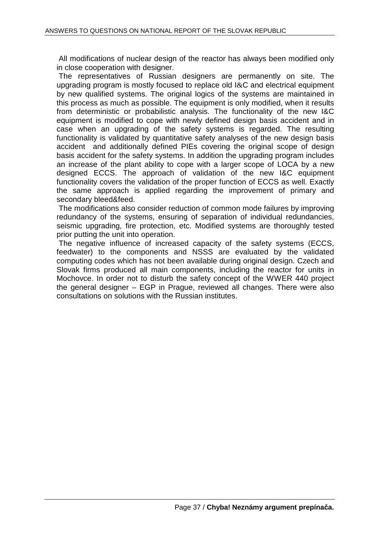All modifications of nuclear design of the reactor has always been modified only in close cooperation with designer.

The representatives of Russian designers are permanently on site. The upgrading program is mostly focused to replace old I&C and electrical equipment by new qualified systems. The original logics of the systems are maintained in this process as much as possible. The equipment is only modified, when it results from deterministic or probabilistic analysis. The functionality of the new I&C equipment is modified to cope with newly defined design basis accident and in case when an upgrading of the safety systems is regarded. The resulting functionality is validated by quantitative safety analyses of the new design basis accident and additionally defined PIEs covering the original scope of design basis accident for the safety systems. In addition the upgrading program includes an increase of the plant ability to cope with a larger scope of LOCA by a new designed ECCS. The approach of validation of the new I&C equipment functionality covers the validation of the proper function of ECCS as well. Exactly the same approach is applied regarding the improvement of primary and secondary bleed&feed.

The modifications also consider reduction of common mode failures by improving redundancy of the systems, ensuring of separation of individual redundancies, seismic upgrading, fire protection, etc. Modified systems are thoroughly tested prior putting the unit into operation.

The negative influence of increased capacity of the safety systems (ECCS, feedwater) to the components and NSSS are evaluated by the validated computing codes which has not been available during original design. Czech and Slovak firms produced all main components, including the reactor for units in Mochovce. In order not to disturb the safety concept of the WWER 440 project the general designer – EGP in Prague, reviewed all changes. There were also consultations on solutions with the Russian institutes.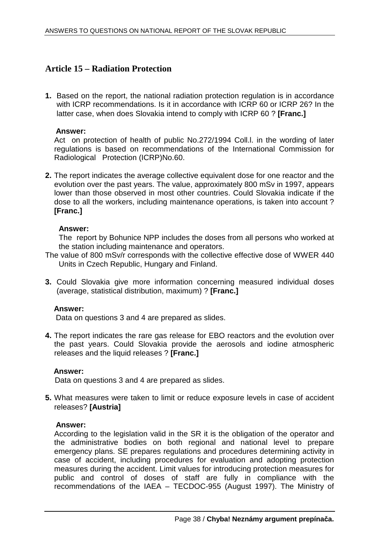## **Article 15 – Radiation Protection**

**1.** Based on the report, the national radiation protection regulation is in accordance with ICRP recommendations. Is it in accordance with ICRP 60 or ICRP 26? In the latter case, when does Slovakia intend to comply with ICRP 60 ? **[Franc.]** 

## **Answer:**

Act on protection of health of public No.272/1994 Coll.l. in the wording of later regulations is based on recommendations of the International Commission for Radiological Protection (ICRP)No.60.

**2.** The report indicates the average collective equivalent dose for one reactor and the evolution over the past years. The value, approximately 800 mSv in 1997, appears lower than those observed in most other countries. Could Slovakia indicate if the dose to all the workers, including maintenance operations, is taken into account ? **[Franc.]** 

## **Answer:**

The report by Bohunice NPP includes the doses from all persons who worked at the station including maintenance and operators.

- The value of 800 mSv/r corresponds with the collective effective dose of WWER 440 Units in Czech Republic, Hungary and Finland.
- **3.** Could Slovakia give more information concerning measured individual doses (average, statistical distribution, maximum) ? **[Franc.]**

## **Answer:**

Data on questions 3 and 4 are prepared as slides.

**4.** The report indicates the rare gas release for EBO reactors and the evolution over the past years. Could Slovakia provide the aerosols and iodine atmospheric releases and the liquid releases ? **[Franc.]** 

## **Answer:**

Data on questions 3 and 4 are prepared as slides.

**5.** What measures were taken to limit or reduce exposure levels in case of accident releases? **[Austria]** 

## **Answer:**

According to the legislation valid in the SR it is the obligation of the operator and the administrative bodies on both regional and national level to prepare emergency plans. SE prepares regulations and procedures determining activity in case of accident, including procedures for evaluation and adopting protection measures during the accident. Limit values for introducing protection measures for public and control of doses of staff are fully in compliance with the recommendations of the IAEA – TECDOC-955 (August 1997). The Ministry of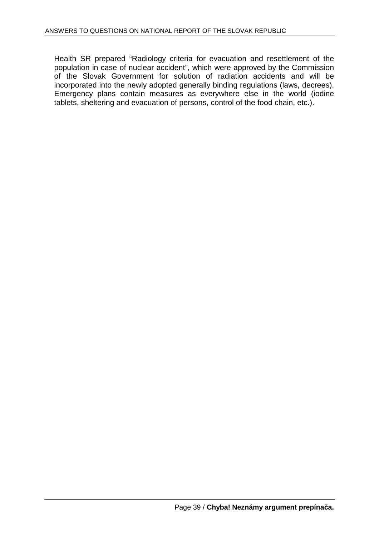Health SR prepared "Radiology criteria for evacuation and resettlement of the population in case of nuclear accident", which were approved by the Commission of the Slovak Government for solution of radiation accidents and will be incorporated into the newly adopted generally binding regulations (laws, decrees). Emergency plans contain measures as everywhere else in the world (iodine tablets, sheltering and evacuation of persons, control of the food chain, etc.).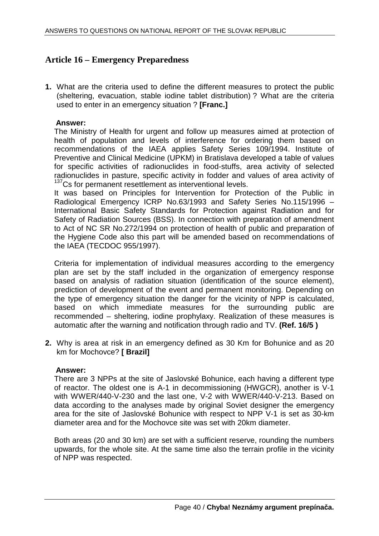## **Article 16 – Emergency Preparedness**

**1.** What are the criteria used to define the different measures to protect the public (sheltering, evacuation, stable iodine tablet distribution) ? What are the criteria used to enter in an emergency situation ? **[Franc.]** 

## **Answer:**

The Ministry of Health for urgent and follow up measures aimed at protection of health of population and levels of interference for ordering them based on recommendations of the IAEA applies Safety Series 109/1994. Institute of Preventive and Clinical Medicine (UPKM) in Bratislava developed a table of values for specific activities of radionuclides in food-stuffs, area activity of selected radionuclides in pasture, specific activity in fodder and values of area activity of <sup>137</sup>Cs for permanent resettlement as interventional levels.

It was based on Principles for Intervention for Protection of the Public in Radiological Emergency ICRP No.63/1993 and Safety Series No.115/1996 – International Basic Safety Standards for Protection against Radiation and for Safety of Radiation Sources (BSS). In connection with preparation of amendment to Act of NC SR No.272/1994 on protection of health of public and preparation of the Hygiene Code also this part will be amended based on recommendations of the IAEA (TECDOC 955/1997).

Criteria for implementation of individual measures according to the emergency plan are set by the staff included in the organization of emergency response based on analysis of radiation situation (identification of the source element), prediction of development of the event and permanent monitoring. Depending on the type of emergency situation the danger for the vicinity of NPP is calculated, based on which immediate measures for the surrounding public are recommended – sheltering, iodine prophylaxy. Realization of these measures is automatic after the warning and notification through radio and TV. **(Ref. 16/5 )**

**2.** Why is area at risk in an emergency defined as 30 Km for Bohunice and as 20 km for Mochovce? **[ Brazil]** 

## **Answer:**

There are 3 NPPs at the site of Jaslovské Bohunice, each having a different type of reactor. The oldest one is A-1 in decommissioning (HWGCR), another is V-1 with WWER/440-V-230 and the last one, V-2 with WWER/440-V-213. Based on data according to the analyses made by original Soviet designer the emergency area for the site of Jaslovské Bohunice with respect to NPP V-1 is set as 30-km diameter area and for the Mochovce site was set with 20km diameter.

Both areas (20 and 30 km) are set with a sufficient reserve, rounding the numbers upwards, for the whole site. At the same time also the terrain profile in the vicinity of NPP was respected.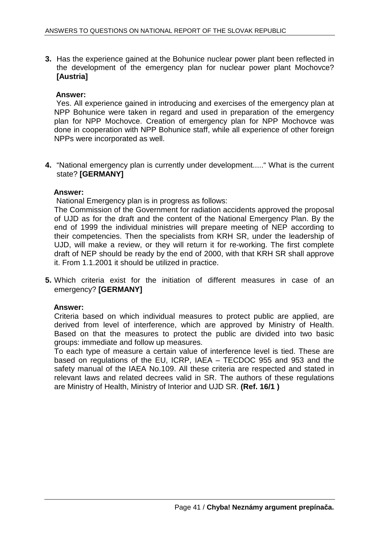**3.** Has the experience gained at the Bohunice nuclear power plant been reflected in the development of the emergency plan for nuclear power plant Mochovce? **[Austria]** 

## **Answer:**

 Yes. All experience gained in introducing and exercises of the emergency plan at NPP Bohunice were taken in regard and used in preparation of the emergency plan for NPP Mochovce. Creation of emergency plan for NPP Mochovce was done in cooperation with NPP Bohunice staff, while all experience of other foreign NPPs were incorporated as well.

**4.** "National emergency plan is currently under development....." What is the current state? **[GERMANY]** 

## **Answer:**

National Emergency plan is in progress as follows:

The Commission of the Government for radiation accidents approved the proposal of UJD as for the draft and the content of the National Emergency Plan. By the end of 1999 the individual ministries will prepare meeting of NEP according to their competencies. Then the specialists from KRH SR, under the leadership of UJD, will make a review, or they will return it for re-working. The first complete draft of NEP should be ready by the end of 2000, with that KRH SR shall approve it. From 1.1.2001 it should be utilized in practice.

**5.** Which criteria exist for the initiation of different measures in case of an emergency? **[GERMANY]** 

## **Answer:**

Criteria based on which individual measures to protect public are applied, are derived from level of interference, which are approved by Ministry of Health. Based on that the measures to protect the public are divided into two basic groups: immediate and follow up measures.

To each type of measure a certain value of interference level is tied. These are based on regulations of the EU, ICRP, IAEA – TECDOC 955 and 953 and the safety manual of the IAEA No.109. All these criteria are respected and stated in relevant laws and related decrees valid in SR. The authors of these regulations are Ministry of Health, Ministry of Interior and UJD SR. **(Ref. 16/1 )**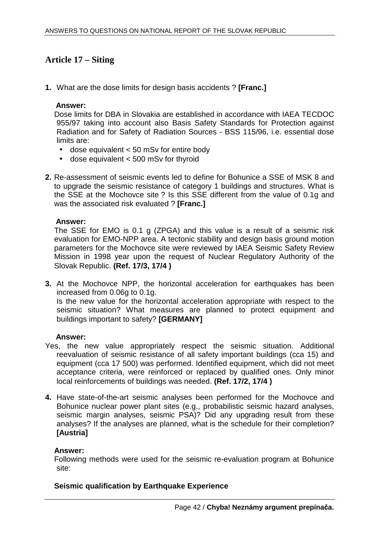## **Article 17 – Siting**

**1.** What are the dose limits for design basis accidents ? **[Franc.]** 

## **Answer:**

Dose limits for DBA in Slovakia are established in accordance with IAEA TECDOC 955/97 taking into account also Basis Safety Standards for Protection against Radiation and for Safety of Radiation Sources - BSS 115/96, i.e. essential dose limits are:

- dose equivalent < 50 mSv for entire body
- dose equivalent < 500 mSv for thyroid
- **2.** Re-assessment of seismic events led to define for Bohunice a SSE of MSK 8 and to upgrade the seismic resistance of category 1 buildings and structures. What is the SSE at the Mochovce site ? Is this SSE different from the value of 0.1g and was the associated risk evaluated ? **[Franc.]**

## **Answer:**

The SSE for EMO is 0.1 g (ZPGA) and this value is a result of a seismic risk evaluation for EMO-NPP area. A tectonic stability and design basis ground motion parameters for the Mochovce site were reviewed by IAEA Seismic Safety Review Mission in 1998 year upon the request of Nuclear Regulatory Authority of the Slovak Republic. **(Ref. 17/3, 17/4 )**

**3.** At the Mochovce NPP, the horizontal acceleration for earthquakes has been increased from 0.06g to 0.1g.

Is the new value for the horizontal acceleration appropriate with respect to the seismic situation? What measures are planned to protect equipment and buildings important to safety? **[GERMANY]** 

## **Answer:**

- Yes, the new value appropriately respect the seismic situation. Additional reevaluation of seismic resistance of all safety important buildings (cca 15) and equipment (cca 17 500) was performed. Identified equipment, which did not meet acceptance criteria, were reinforced or replaced by qualified ones. Only minor local reinforcements of buildings was needed. **(Ref. 17/2, 17/4 )**
- **4.** Have state-of-the-art seismic analyses been performed for the Mochovce and Bohunice nuclear power plant sites (e.g., probabilistic seismic hazard analyses, seismic margin analyses, seismic PSA)? Did any upgrading result from these analyses? If the analyses are planned, what is the schedule for their completion? **[Austria]**

## **Answer:**

Following methods were used for the seismic re-evaluation program at Bohunice site:

## **Seismic qualification by Earthquake Experience**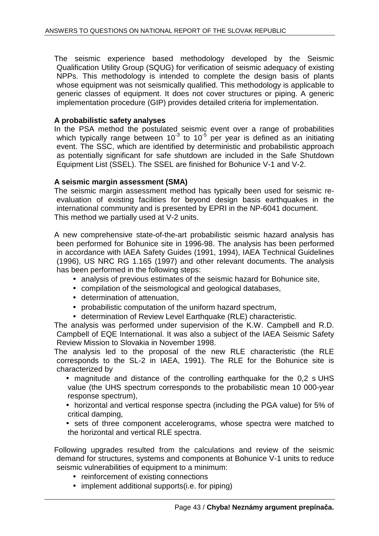The seismic experience based methodology developed by the Seismic Qualification Utility Group (SQUG) for verification of seismic adequacy of existing NPPs. This methodology is intended to complete the design basis of plants whose equipment was not seismically qualified. This methodology is applicable to generic classes of equipment. It does not cover structures or piping. A generic implementation procedure (GIP) provides detailed criteria for implementation.

## **A probabilistic safety analyses**

In the PSA method the postulated seismic event over a range of probabilities which typically range between  $10^{-3}$  to  $10^{-5}$  per year is defined as an initiating event. The SSC, which are identified by deterministic and probabilistic approach as potentially significant for safe shutdown are included in the Safe Shutdown Equipment List (SSEL). The SSEL are finished for Bohunice V-1 and V-2.

## **A seismic margin assessment (SMA)**

The seismic margin assessment method has typically been used for seismic reevaluation of existing facilities for beyond design basis earthquakes in the international community and is presented by EPRI in the NP-6041 document. This method we partially used at V-2 units.

A new comprehensive state-of-the-art probabilistic seismic hazard analysis has been performed for Bohunice site in 1996-98. The analysis has been performed in accordance with IAEA Safety Guides (1991, 1994), IAEA Technical Guidelines (1996), US NRC RG 1.165 (1997) and other relevant documents. The analysis has been performed in the following steps:

- analysis of previous estimates of the seismic hazard for Bohunice site,
- compilation of the seismological and geological databases,
- determination of attenuation,
- probabilistic computation of the uniform hazard spectrum,
- determination of Review Level Earthquake (RLE) characteristic.

The analysis was performed under supervision of the K.W. Campbell and R.D. Campbell of EQE International. It was also a subject of the IAEA Seismic Safety Review Mission to Slovakia in November 1998.

The analysis led to the proposal of the new RLE characteristic (the RLE corresponds to the SL-2 in IAEA, 1991). The RLE for the Bohunice site is characterized by

- magnitude and distance of the controlling earthquake for the 0,2 s UHS value (the UHS spectrum corresponds to the probabilistic mean 10 000-year response spectrum),
- horizontal and vertical response spectra (including the PGA value) for 5% of critical damping,
- sets of three component accelerograms, whose spectra were matched to the horizontal and vertical RLE spectra.

Following upgrades resulted from the calculations and review of the seismic demand for structures, systems and components at Bohunice V-1 units to reduce seismic vulnerabilities of equipment to a minimum:

- reinforcement of existing connections
- implement additional supports(i.e. for piping)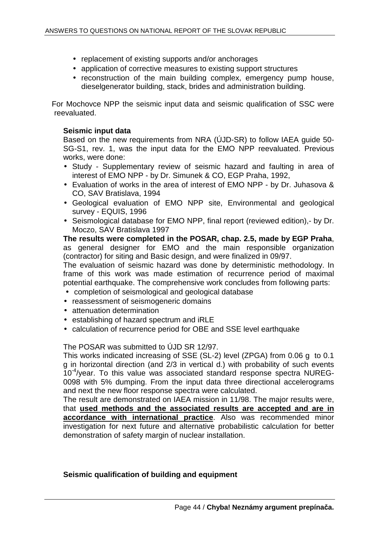- replacement of existing supports and/or anchorages
- application of corrective measures to existing support structures
- reconstruction of the main building complex, emergency pump house, dieselgenerator building, stack, brides and administration building.

For Mochovce NPP the seismic input data and seismic qualification of SSC were reevaluated.

## **Seismic input data**

Based on the new requirements from NRA (ÚJD-SR) to follow IAEA guide 50- SG-S1, rev. 1, was the input data for the EMO NPP reevaluated. Previous works, were done:

- Study Supplementary review of seismic hazard and faulting in area of interest of EMO NPP - by Dr. Simunek & CO, EGP Praha, 1992,
- Evaluation of works in the area of interest of EMO NPP by Dr. Juhasova & CO, SAV Bratislava, 1994
- Geological evaluation of EMO NPP site, Environmental and geological survey - EQUIS, 1996
- Seismological database for EMO NPP, final report (reviewed edition),- by Dr. Moczo, SAV Bratislava 1997

**The results were completed in the POSAR, chap. 2.5, made by EGP Praha**, as general designer for EMO and the main responsible organization (contractor) for siting and Basic design, and were finalized in 09/97.

The evaluation of seismic hazard was done by deterministic methodology. In frame of this work was made estimation of recurrence period of maximal potential earthquake. The comprehensive work concludes from following parts:

- completion of seismological and geological database
- reassessment of seismogeneric domains
- attenuation determination
- establishing of hazard spectrum and iRLE
- calculation of recurrence period for OBE and SSE level earthquake

The POSAR was submitted to ÚJD SR 12/97.

This works indicated increasing of SSE (SL-2) level (ZPGA) from 0.06 g to 0.1 g in horizontal direction (and 2/3 in vertical d.) with probability of such events 10-4/year. To this value was associated standard response spectra NUREG-0098 with 5% dumping. From the input data three directional accelerograms and next the new floor response spectra were calculated.

The result are demonstrated on IAEA mission in 11/98. The major results were, that **used methods and the associated results are accepted and are in accordance with international practice**. Also was recommended minor investigation for next future and alternative probabilistic calculation for better demonstration of safety margin of nuclear installation.

## **Seismic qualification of building and equipment**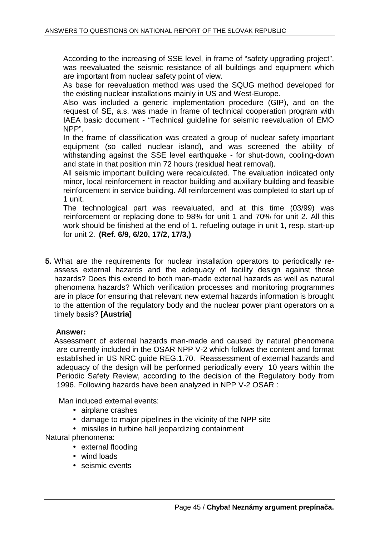According to the increasing of SSE level, in frame of "safety upgrading project", was reevaluated the seismic resistance of all buildings and equipment which are important from nuclear safety point of view.

As base for reevaluation method was used the SQUG method developed for the existing nuclear installations mainly in US and West-Europe.

Also was included a generic implementation procedure (GIP), and on the request of SE, a.s. was made in frame of technical cooperation program with IAEA basic document - "Technical guideline for seismic reevaluation of EMO NPP".

In the frame of classification was created a group of nuclear safety important equipment (so called nuclear island), and was screened the ability of withstanding against the SSE level earthquake - for shut-down, cooling-down and state in that position min 72 hours (residual heat removal).

All seismic important building were recalculated. The evaluation indicated only minor, local reinforcement in reactor building and auxiliary building and feasible reinforcement in service building. All reinforcement was completed to start up of 1 unit.

The technological part was reevaluated, and at this time (03/99) was reinforcement or replacing done to 98% for unit 1 and 70% for unit 2. All this work should be finished at the end of 1. refueling outage in unit 1, resp. start-up for unit 2. **(Ref. 6/9, 6/20, 17/2, 17/3,)**

**5.** What are the requirements for nuclear installation operators to periodically reassess external hazards and the adequacy of facility design against those hazards? Does this extend to both man-made external hazards as well as natural phenomena hazards? Which verification processes and monitoring programmes are in place for ensuring that relevant new external hazards information is brought to the attention of the regulatory body and the nuclear power plant operators on a timely basis? **[Austria]** 

## **Answer:**

Assessment of external hazards man-made and caused by natural phenomena are currently included in the OSAR NPP V-2 which follows the content and format established in US NRC guide REG.1.70. Reassessment of external hazards and adequacy of the design will be performed periodically every 10 years within the Periodic Safety Review, according to the decision of the Regulatory body from 1996. Following hazards have been analyzed in NPP V-2 OSAR :

Man induced external events:

- airplane crashes
- damage to major pipelines in the vicinity of the NPP site
- missiles in turbine hall ieopardizing containment

Natural phenomena:

- external flooding
- wind loads
- seismic events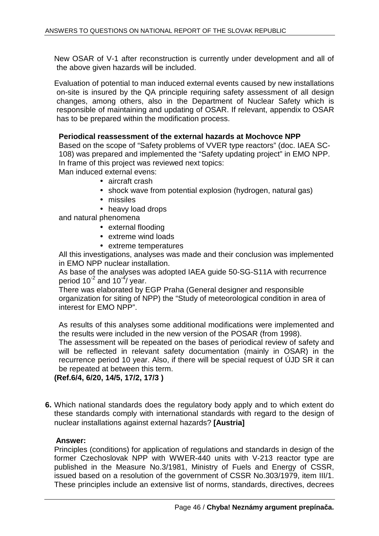New OSAR of V-1 after reconstruction is currently under development and all of the above given hazards will be included.

Evaluation of potential to man induced external events caused by new installations on-site is insured by the QA principle requiring safety assessment of all design changes, among others, also in the Department of Nuclear Safety which is responsible of maintaining and updating of OSAR. If relevant, appendix to OSAR has to be prepared within the modification process.

## **Periodical reassessment of the external hazards at Mochovce NPP**

Based on the scope of "Safety problems of VVER type reactors" (doc. IAEA SC-108) was prepared and implemented the "Safety updating project" in EMO NPP. In frame of this project was reviewed next topics:

Man induced external evens:

- aircraft crash
- shock wave from potential explosion (hydrogen, natural gas)
- missiles
- heavy load drops

and natural phenomena

- external flooding
- extreme wind loads
- extreme temperatures

All this investigations, analyses was made and their conclusion was implemented in EMO NPP nuclear installation.

As base of the analyses was adopted IAEA guide 50-SG-S11A with recurrence period  $10^{-2}$  and  $10^{-4}$ / year.

There was elaborated by EGP Praha (General designer and responsible organization for siting of NPP) the "Study of meteorological condition in area of interest for EMO NPP".

As results of this analyses some additional modifications were implemented and the results were included in the new version of the POSAR (from 1998).

The assessment will be repeated on the bases of periodical review of safety and will be reflected in relevant safety documentation (mainly in OSAR) in the recurrence period 10 year. Also, if there will be special request of ÚJD SR it can be repeated at between this term.

**(Ref.6/4, 6/20, 14/5, 17/2, 17/3 )**

**6.** Which national standards does the regulatory body apply and to which extent do these standards comply with international standards with regard to the design of nuclear installations against external hazards? **[Austria]** 

## **Answer:**

Principles (conditions) for application of regulations and standards in design of the former Czechoslovak NPP with WWER-440 units with V-213 reactor type are published in the Measure No.3/1981, Ministry of Fuels and Energy of CSSR, issued based on a resolution of the government of CSSR No.303/1979, item III/1. These principles include an extensive list of norms, standards, directives, decrees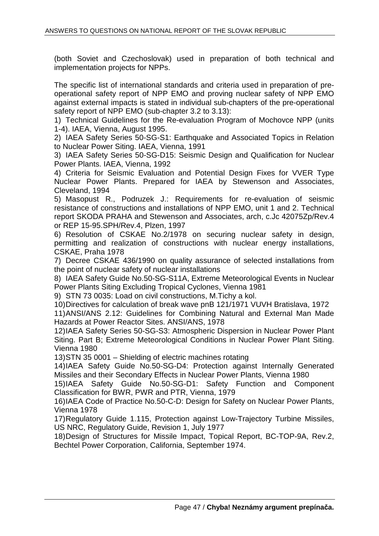(both Soviet and Czechoslovak) used in preparation of both technical and implementation projects for NPPs.

The specific list of international standards and criteria used in preparation of preoperational safety report of NPP EMO and proving nuclear safety of NPP EMO against external impacts is stated in individual sub-chapters of the pre-operational safety report of NPP EMO (sub-chapter 3.2 to 3.13):

1) Technical Guidelines for the Re-evaluation Program of Mochovce NPP (units 1-4). IAEA, Vienna, August 1995.

2) IAEA Safety Series 50-SG-S1: Earthquake and Associated Topics in Relation to Nuclear Power Siting. IAEA, Vienna, 1991

3) IAEA Safety Series 50-SG-D15: Seismic Design and Qualification for Nuclear Power Plants. IAEA, Vienna, 1992

4) Criteria for Seismic Evaluation and Potential Design Fixes for VVER Type Nuclear Power Plants. Prepared for IAEA by Stewenson and Associates, Cleveland, 1994

5) Masopust R., Podruzek J.: Requirements for re-evaluation of seismic resistance of constructions and installations of NPP EMO, unit 1 and 2. Technical report SKODA PRAHA and Stewenson and Associates, arch, c.Jc 42075Zp/Rev.4 or REP 15-95.SPH/Rev.4, Plzen, 1997

6) Resolution of CSKAE No.2/1978 on securing nuclear safety in design, permitting and realization of constructions with nuclear energy installations, CSKAE, Praha 1978

7) Decree CSKAE 436/1990 on quality assurance of selected installations from the point of nuclear safety of nuclear installations

8) IAEA Safety Guide No.50-SG-S11A, Extreme Meteorological Events in Nuclear Power Plants Siting Excluding Tropical Cyclones, Vienna 1981

9) STN 73 0035: Load on civil constructions, M.Tichy a kol.

10) Directives for calculation of break wave pnB 121/1971 VUVH Bratislava, 1972 11) ANSI/ANS 2.12: Guidelines for Combining Natural and External Man Made Hazards at Power Reactor Sites. ANSI/ANS, 1978

12) IAEA Safety Series 50-SG-S3: Atmospheric Dispersion in Nuclear Power Plant Siting. Part B; Extreme Meteorological Conditions in Nuclear Power Plant Siting. Vienna 1980

13) STN 35 0001 – Shielding of electric machines rotating

14) IAEA Safety Guide No.50-SG-D4: Protection against Internally Generated Missiles and their Secondary Effects in Nuclear Power Plants, Vienna 1980

15) IAEA Safety Guide No.50-SG-D1: Safety Function and Component Classification for BWR, PWR and PTR, Vienna, 1979

16) IAEA Code of Practice No.50-C-D: Design for Safety on Nuclear Power Plants, Vienna 1978

17) Regulatory Guide 1.115, Protection against Low-Trajectory Turbine Missiles, US NRC, Regulatory Guide, Revision 1, July 1977

18) Design of Structures for Missile Impact, Topical Report, BC-TOP-9A, Rev.2, Bechtel Power Corporation, California, September 1974.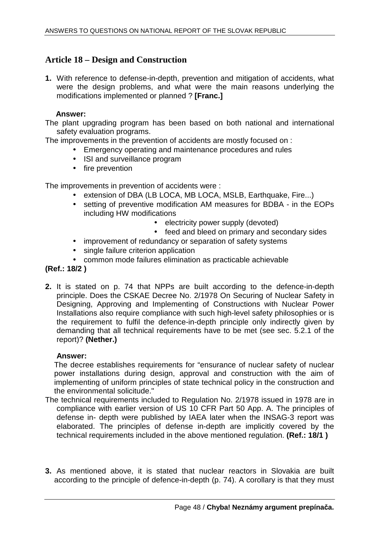## **Article 18 – Design and Construction**

**1.** With reference to defense-in-depth, prevention and mitigation of accidents, what were the design problems, and what were the main reasons underlying the modifications implemented or planned ? **[Franc.]** 

## **Answer:**

The plant upgrading program has been based on both national and international safety evaluation programs.

The improvements in the prevention of accidents are mostly focused on :

- Emergency operating and maintenance procedures and rules
- ISI and surveillance program
- fire prevention

The improvements in prevention of accidents were :

- extension of DBA (LB LOCA, MB LOCA, MSLB, Earthquake, Fire...)
- setting of preventive modification AM measures for BDBA in the EOPs including HW modifications
	- electricity power supply (devoted)
	- feed and bleed on primary and secondary sides
- improvement of redundancy or separation of safety systems
- single failure criterion application
- common mode failures elimination as practicable achievable

## **(Ref.: 18/2 )**

**2.** It is stated on p. 74 that NPPs are built according to the defence-in-depth principle. Does the CSKAE Decree No. 2/1978 On Securing of Nuclear Safety in Designing, Approving and Implementing of Constructions with Nuclear Power Installations also require compliance with such high-level safety philosophies or is the requirement to fulfil the defence-in-depth principle only indirectly given by demanding that all technical requirements have to be met (see sec. 5.2.1 of the report)? **(Nether.)** 

## **Answer:**

The decree establishes requirements for "ensurance of nuclear safety of nuclear power installations during design, approval and construction with the aim of implementing of uniform principles of state technical policy in the construction and the environmental solicitude."

- The technical requirements included to Regulation No. 2/1978 issued in 1978 are in compliance with earlier version of US 10 CFR Part 50 App. A. The principles of defense in- depth were published by IAEA later when the INSAG-3 report was elaborated. The principles of defense in-depth are implicitly covered by the technical requirements included in the above mentioned regulation. **(Ref.: 18/1 )**
- **3.** As mentioned above, it is stated that nuclear reactors in Slovakia are built according to the principle of defence-in-depth (p. 74). A corollary is that they must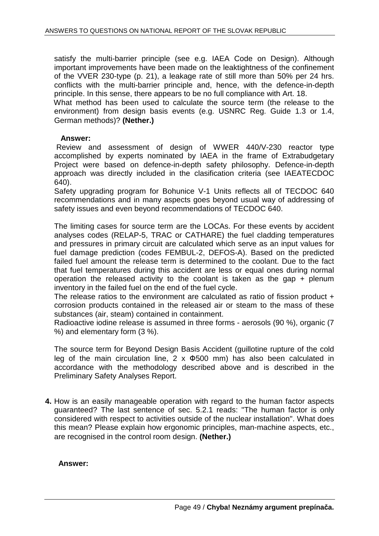satisfy the multi-barrier principle (see e.g. IAEA Code on Design). Although important improvements have been made on the leaktightness of the confinement of the VVER 230-type (p. 21), a leakage rate of still more than 50% per 24 hrs. conflicts with the multi-barrier principle and, hence, with the defence-in-depth principle. In this sense, there appears to be no full compliance with Art. 18.

 What method has been used to calculate the source term (the release to the environment) from design basis events (e.g. USNRC Reg. Guide 1.3 or 1.4, German methods)? **(Nether.)** 

## **Answer:**

 Review and assessment of design of WWER 440/V-230 reactor type accomplished by experts nominated by IAEA in the frame of Extrabudgetary Project were based on defence-in-depth safety philosophy. Defence-in-depth approach was directly included in the clasification criteria (see IAEATECDOC 640).

Safety upgrading program for Bohunice V-1 Units reflects all of TECDOC 640 recommendations and in many aspects goes beyond usual way of addressing of safety issues and even beyond recommendations of TECDOC 640.

The limiting cases for source term are the LOCAs. For these events by accident analyses codes (RELAP-5, TRAC or CATHARE) the fuel cladding temperatures and pressures in primary circuit are calculated which serve as an input values for fuel damage prediction (codes FEMBUL-2, DEFOS-A). Based on the predicted failed fuel amount the release term is determined to the coolant. Due to the fact that fuel temperatures during this accident are less or equal ones during normal operation the released activity to the coolant is taken as the gap + plenum inventory in the failed fuel on the end of the fuel cycle.

The release ratios to the environment are calculated as ratio of fission product + corrosion products contained in the released air or steam to the mass of these substances (air, steam) contained in containment.

Radioactive iodine release is assumed in three forms - aerosols (90 %), organic (7 %) and elementary form (3 %).

The source term for Beyond Design Basis Accident (guillotine rupture of the cold leg of the main circulation line,  $2 \times \Phi 500$  mm) has also been calculated in accordance with the methodology described above and is described in the Preliminary Safety Analyses Report.

**4.** How is an easily manageable operation with regard to the human factor aspects guaranteed? The last sentence of sec. 5.2.1 reads: "The human factor is only considered with respect to activities outside of the nuclear installation". What does this mean? Please explain how ergonomic principles, man-machine aspects, etc., are recognised in the control room design. **(Nether.)** 

## **Answer:**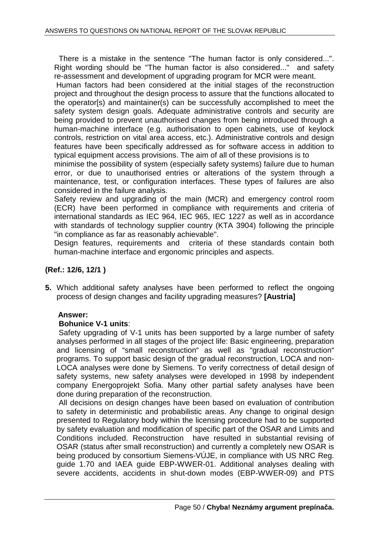There is a mistake in the sentence "The human factor is only considered...". Right wording should be "The human factor is also considered..." and safety re-assessment and development of upgrading program for MCR were meant.

 Human factors had been considered at the initial stages of the reconstruction project and throughout the design process to assure that the functions allocated to the operator[s) and maintainer(s) can be successfully accomplished to meet the safety system design goals. Adequate administrative controls and security are being provided to prevent unauthorised changes from being introduced through a human-machine interface (e.g. authorisation to open cabinets, use of keylock controls, restriction on vital area access, etc.). Administrative controls and design features have been specifically addressed as for software access in addition to typical equipment access provisions. The aim of all of these provisions is to

minimise the possibility of system (especially safety systems) failure due to human error, or due to unauthorised entries or alterations of the system through a maintenance, test, or configuration interfaces. These types of failures are also considered in the failure analysis.

Safety review and upgrading of the main (MCR) and emergency control room (ECR) have been performed in compliance with requirements and criteria of international standards as IEC 964, IEC 965, IEC 1227 as well as in accordance with standards of technology supplier country (KTA 3904) following the principle "in compliance as far as reasonably achievable".

Design features, requirements and criteria of these standards contain both human-machine interface and ergonomic principles and aspects.

## **(Ref.: 12/6, 12/1 )**

**5.** Which additional safety analyses have been performed to reflect the ongoing process of design changes and facility upgrading measures? **[Austria]** 

## **Answer:**

## **Bohunice V-1 units**:

Safety upgrading of V-1 units has been supported by a large number of safety analyses performed in all stages of the project life: Basic engineering, preparation and licensing of "small reconstruction" as well as "gradual reconstruction" programs. To support basic design of the gradual reconstruction, LOCA and non-LOCA analyses were done by Siemens. To verify correctness of detail design of safety systems, new safety analyses were developed in 1998 by independent company Energoprojekt Sofia. Many other partial safety analyses have been done during preparation of the reconstruction.

All decisions on design changes have been based on evaluation of contribution to safety in deterministic and probabilistic areas. Any change to original design presented to Regulatory body within the licensing procedure had to be supported by safety evaluation and modification of specific part of the OSAR and Limits and Conditions included. Reconstruction have resulted in substantial revising of OSAR (status after small reconstruction) and currently a completely new OSAR is being produced by consortium Siemens-VÚJE, in compliance with US NRC Reg. guide 1.70 and IAEA guide EBP-WWER-01. Additional analyses dealing with severe accidents, accidents in shut-down modes (EBP-WWER-09) and PTS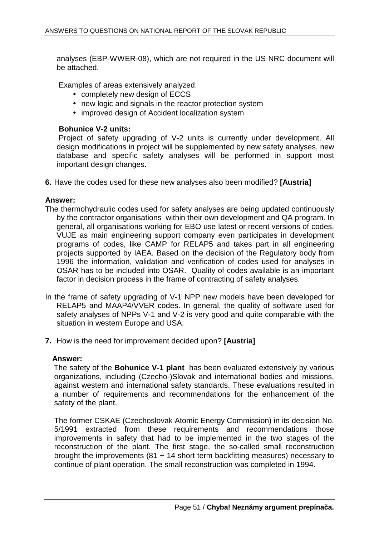analyses (EBP-WWER-08), which are not required in the US NRC document will be attached.

Examples of areas extensively analyzed:

- completely new design of ECCS
- new logic and signals in the reactor protection system
- improved design of Accident localization system

## **Bohunice V-2 units:**

Project of safety upgrading of V-2 units is currently under development. All design modifications in project will be supplemented by new safety analyses, new database and specific safety analyses will be performed in support most important design changes.

**6.** Have the codes used for these new analyses also been modified? **[Austria]** 

## **Answer:**

- The thermohydraulic codes used for safety analyses are being updated continuously by the contractor organisations within their own development and QA program. In general, all organisations working for EBO use latest or recent versions of codes. VUJE as main engineering support company even participates in development programs of codes, like CAMP for RELAP5 and takes part in all engineering projects supported by IAEA. Based on the decision of the Regulatory body from 1996 the information, validation and verification of codes used for analyses in OSAR has to be included into OSAR. Quality of codes available is an important factor in decision process in the frame of contracting of safety analyses.
- In the frame of safety upgrading of V-1 NPP new models have been developed for RELAP5 and MAAP4/VVER codes. In general, the quality of software used for safety analyses of NPPs V-1 and V-2 is very good and quite comparable with the situation in western Europe and USA.
- **7.** How is the need for improvement decided upon? **[Austria]**

## **Answer:**

 The safety of the **Bohunice V-1 plant** has been evaluated extensively by various organizations, including (Czecho-)Slovak and international bodies and missions, against western and international safety standards. These evaluations resulted in a number of requirements and recommendations for the enhancement of the safety of the plant.

The former CSKAE (Czechoslovak Atomic Energy Commission) in its decision No. 5/1991 extracted from these requirements and recommendations those improvements in safety that had to be implemented in the two stages of the reconstruction of the plant. The first stage, the so-called small reconstruction brought the improvements (81 + 14 short term backfitting measures) necessary to continue of plant operation. The small reconstruction was completed in 1994.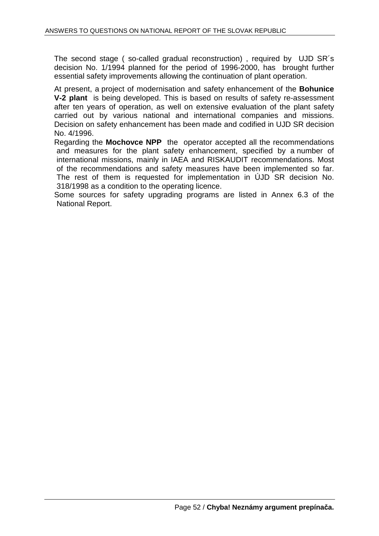The second stage ( so-called gradual reconstruction) , required by UJD SR´s decision No. 1/1994 planned for the period of 1996-2000, has brought further essential safety improvements allowing the continuation of plant operation.

At present, a project of modernisation and safety enhancement of the **Bohunice V-2 plant** is being developed. This is based on results of safety re-assessment after ten years of operation, as well on extensive evaluation of the plant safety carried out by various national and international companies and missions. Decision on safety enhancement has been made and codified in UJD SR decision No. 4/1996.

Regarding the **Mochovce NPP** the operator accepted all the recommendations and measures for the plant safety enhancement, specified by a number of international missions, mainly in IAEA and RISKAUDIT recommendations. Most of the recommendations and safety measures have been implemented so far. The rest of them is requested for implementation in ÚJD SR decision No. 318/1998 as a condition to the operating licence.

Some sources for safety upgrading programs are listed in Annex 6.3 of the National Report.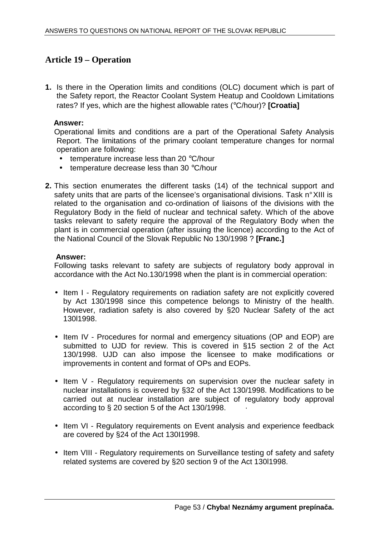## **Article 19 – Operation**

**1.** Is there in the Operation limits and conditions (OLC) document which is part of the Safety report, the Reactor Coolant System Heatup and Cooldown Limitations rates? If yes, which are the highest allowable rates (°C/hour)? **[Croatia]** 

## **Answer:**

Operational limits and conditions are a part of the Operational Safety Analysis Report. The limitations of the primary coolant temperature changes for normal operation are following:

- temperature increase less than 20 °C/hour
- temperature decrease less than 30 °C/hour
- **2.** This section enumerates the different tasks (14) of the technical support and safety units that are parts of the licensee's organisational divisions. Task n° XIII is related to the organisation and co-ordination of liaisons of the divisions with the Regulatory Body in the field of nuclear and technical safety. Which of the above tasks relevant to safety require the approval of the Regulatory Body when the plant is in commercial operation (after issuing the licence) according to the Act of the National Council of the Slovak Republic No 130/1998 ? **[Franc.]**

## **Answer:**

Following tasks relevant to safety are subjects of regulatory body approval in accordance with the Act No.130/1998 when the plant is in commercial operation:

- Item I Regulatory requirements on radiation safety are not explicitly covered by Act 130/1998 since this competence belongs to Ministry of the health. However, radiation safety is also covered by §20 Nuclear Safety of the act 130l1998.
- Item IV Procedures for normal and emergency situations (OP and EOP) are submitted to UJD for review. This is covered in §15 section 2 of the Act 130/1998. UJD can also impose the licensee to make modifications or improvements in content and format of OPs and EOPs.
- Item V Regulatory requirements on supervision over the nuclear safety in nuclear installations is covered by §32 of the Act 130/1998. Modifications to be carried out at nuclear installation are subject of regulatory body approval according to  $\S$  20 section 5 of the Act 130/1998.
- Item VI Regulatory requirements on Event analysis and experience feedback are covered by §24 of the Act 130I1998.
- Item VIII Regulatory requirements on Surveillance testing of safety and safety related systems are covered by §20 section 9 of the Act 130l1998.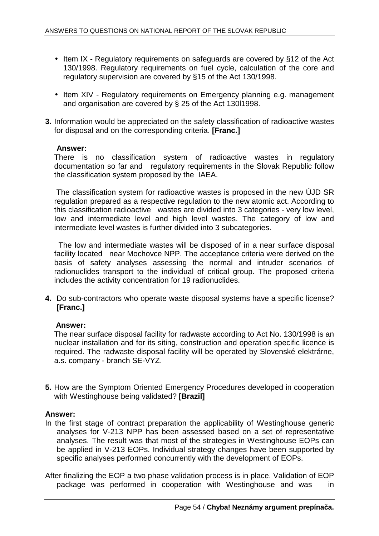- Item IX Regulatory requirements on safeguards are covered by §12 of the Act 130/1998. Regulatory requirements on fuel cycle, calculation of the core and regulatory supervision are covered by §15 of the Act 130/1998.
- Item XIV Regulatory requirements on Emergency planning e.g. management and organisation are covered by § 25 of the Act 130l1998.
- **3.** Information would be appreciated on the safety classification of radioactive wastes for disposal and on the corresponding criteria. **[Franc.]**

## **Answer:**

There is no classification system of radioactive wastes in regulatory documentation so far and regulatory requirements in the Slovak Republic follow the classification system proposed by the IAEA.

 The classification system for radioactive wastes is proposed in the new ÚJD SR regulation prepared as a respective regulation to the new atomic act. According to this classification radioactive wastes are divided into 3 categories - very low level, Iow and intermediate level and high level wastes. The category of low and intermediate level wastes is further divided into 3 subcategories.

 The low and intermediate wastes will be disposed of in a near surface disposal facility located near Mochovce NPP. The acceptance criteria were derived on the basis of safety analyses assessing the normal and intruder scenarios of radionuclides transport to the individual of critical group. The proposed criteria includes the activity concentration for 19 radionuclides.

**4.** Do sub-contractors who operate waste disposal systems have a specific license? **[Franc.]** 

## **Answer:**

The near surface disposal facility for radwaste according to Act No. 130/1998 is an nuclear installation and for its siting, construction and operation specific licence is required. The radwaste disposal facility will be operated by Slovenské elektrárne, a.s. company - branch SE-VYZ.

**5.** How are the Symptom Oriented Emergency Procedures developed in cooperation with Westinghouse being validated? **[Brazil]** 

## **Answer:**

- In the first stage of contract preparation the applicability of Westinghouse generic analyses for V-213 NPP has been assessed based on a set of representative analyses. The result was that most of the strategies in Westinghouse EOPs can be applied in V-213 EOPs. Individual strategy changes have been supported by specific analyses performed concurrently with the development of EOPs.
- After finalizing the EOP a two phase validation process is in place. Validation of EOP package was performed in cooperation with Westinghouse and was in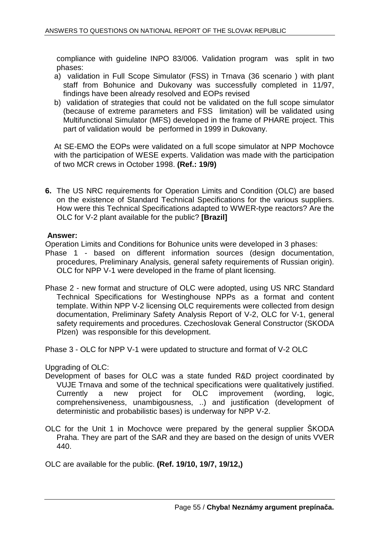compliance with guideline INPO 83/006. Validation program was split in two phases:

- a) validation in Full Scope Simulator (FSS) in Trnava (36 scenario ) with plant staff from Bohunice and Dukovany was successfully completed in 11/97, findings have been already resolved and EOPs revised
- b) validation of strategies that could not be validated on the full scope simulator (because of extreme parameters and FSS limitation) will be validated using Multifunctional Simulator (MFS) developed in the frame of PHARE project. This part of validation would be performed in 1999 in Dukovany.

At SE-EMO the EOPs were validated on a full scope simulator at NPP Mochovce with the participation of WESE experts. Validation was made with the participation of two MCR crews in October 1998. **(Ref.: 19/9)**

**6.** The US NRC requirements for Operation Limits and Condition (OLC) are based on the existence of Standard Technical Specifications for the various suppliers. How were this Technical Specifications adapted to WWER-type reactors? Are the OLC for V-2 plant available for the public? **[Brazil]** 

## **Answer:**

Operation Limits and Conditions for Bohunice units were developed in 3 phases:

- Phase 1 based on different information sources (design documentation, procedures, Preliminary Analysis, general safety requirements of Russian origin). OLC for NPP V-1 were developed in the frame of plant licensing.
- Phase 2 new format and structure of OLC were adopted, using US NRC Standard Technical Specifications for Westinghouse NPPs as a format and content template. Within NPP V-2 licensing OLC requirements were collected from design documentation, Preliminary Safety Analysis Report of V-2, OLC for V-1, general safety requirements and procedures. Czechoslovak General Constructor (SKODA Plzen) was responsible for this development.

Phase 3 - OLC for NPP V-1 were updated to structure and format of V-2 OLC

Upgrading of OLC:

- Development of bases for OLC was a state funded R&D project coordinated by VUJE Trnava and some of the technical specifications were qualitatively justified. Currently a new project for OLC improvement (wording, logic, comprehensiveness, unambigousness, ..) and justification (development of deterministic and probabilistic bases) is underway for NPP V-2.
- OLC for the Unit 1 in Mochovce were prepared by the general supplier ŠKODA Praha. They are part of the SAR and they are based on the design of units VVER 440.

OLC are available for the public. **(Ref. 19/10, 19/7, 19/12,)**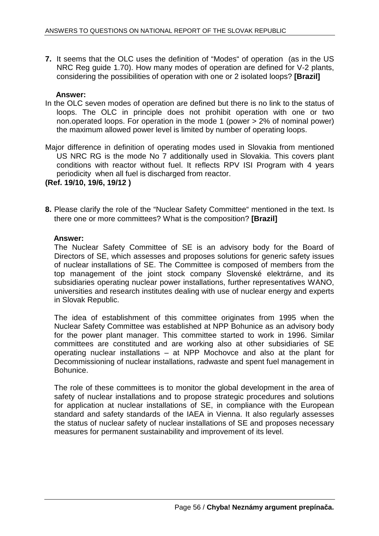**7.** It seems that the OLC uses the definition of "Modes" of operation (as in the US NRC Reg guide 1.70). How many modes of operation are defined for V-2 plants, considering the possibilities of operation with one or 2 isolated loops? **[Brazil]** 

## **Answer:**

- In the OLC seven modes of operation are defined but there is no link to the status of loops. The OLC in principle does not prohibit operation with one or two non.operated loops. For operation in the mode 1 (power > 2% of nominal power) the maximum allowed power level is limited by number of operating loops.
- Major difference in definition of operating modes used in Slovakia from mentioned US NRC RG is the mode No 7 additionally used in Slovakia. This covers plant conditions with reactor without fuel. It reflects RPV ISI Program with 4 years periodicity when all fuel is discharged from reactor.

**(Ref. 19/10, 19/6, 19/12 )**

**8.** Please clarify the role of the "Nuclear Safety Committee" mentioned in the text. Is there one or more committees? What is the composition? **[Brazil]** 

## **Answer:**

The Nuclear Safety Committee of SE is an advisory body for the Board of Directors of SE, which assesses and proposes solutions for generic safety issues of nuclear installations of SE. The Committee is composed of members from the top management of the joint stock company Slovenské elektrárne, and its subsidiaries operating nuclear power installations, further representatives WANO, universities and research institutes dealing with use of nuclear energy and experts in Slovak Republic.

The idea of establishment of this committee originates from 1995 when the Nuclear Safety Committee was established at NPP Bohunice as an advisory body for the power plant manager. This committee started to work in 1996. Similar committees are constituted and are working also at other subsidiaries of SE operating nuclear installations – at NPP Mochovce and also at the plant for Decommissioning of nuclear installations, radwaste and spent fuel management in Bohunice.

The role of these committees is to monitor the global development in the area of safety of nuclear installations and to propose strategic procedures and solutions for application at nuclear installations of SE, in compliance with the European standard and safety standards of the IAEA in Vienna. It also regularly assesses the status of nuclear safety of nuclear installations of SE and proposes necessary measures for permanent sustainability and improvement of its level.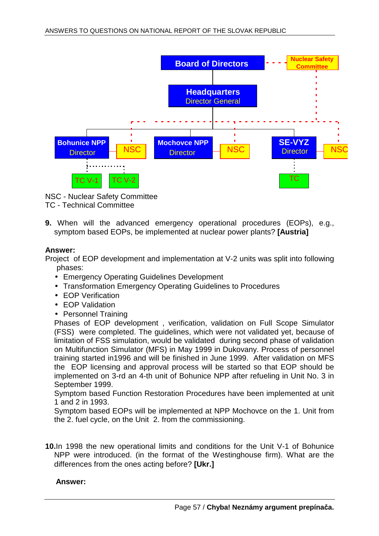

NSC - Nuclear Safety Committee TC - Technical Committee

**9.** When will the advanced emergency operational procedures (EOPs), e.g., symptom based EOPs, be implemented at nuclear power plants? **[Austria]** 

## **Answer:**

Project of EOP development and implementation at V-2 units was split into following phases:

- Emergency Operating Guidelines Development
- Transformation Emergency Operating Guidelines to Procedures
- EOP Verification
- EOP Validation
- Personnel Training

Phases of EOP development , verification, validation on Full Scope Simulator (FSS) were completed. The guidelines, which were not validated yet, because of limitation of FSS simulation, would be validated during second phase of validation on Multifunction Simulator (MFS) in May 1999 in Dukovany. Process of personnel training started in1996 and will be finished in June 1999. After validation on MFS the EOP licensing and approval process will be started so that EOP should be implemented on 3-rd an 4-th unit of Bohunice NPP after refueling in Unit No. 3 in September 1999.

Symptom based Function Restoration Procedures have been implemented at unit 1 and 2 in 1993.

Symptom based EOPs will be implemented at NPP Mochovce on the 1. Unit from the 2. fuel cycle, on the Unit 2. from the commissioning.

**10.**In 1998 the new operational limits and conditions for the Unit V-1 of Bohunice NPP were introduced. (in the format of the Westinghouse firm). What are the differences from the ones acting before? **[Ukr.]** 

## **Answer:**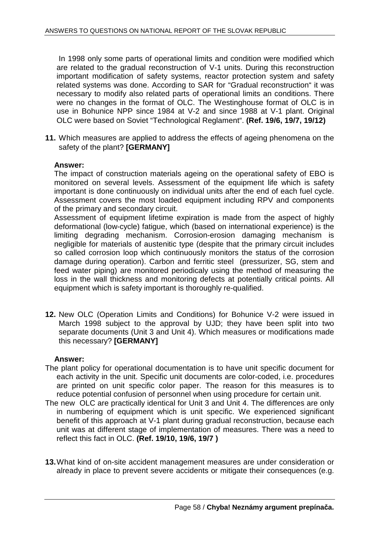In 1998 only some parts of operational limits and condition were modified which are related to the gradual reconstruction of V-1 units. During this reconstruction important modification of safety systems, reactor protection system and safety related systems was done. According to SAR for "Gradual reconstruction" it was necessary to modify also related parts of operational limits an conditions. There were no changes in the format of OLC. The Westinghouse format of OLC is in use in Bohunice NPP since 1984 at V-2 and since 1988 at V-1 plant. Original OLC were based on Soviet "Technological Reglament". **(Ref. 19/6, 19/7, 19/12)**

**11.** Which measures are applied to address the effects of ageing phenomena on the safety of the plant? **[GERMANY]** 

## **Answer:**

The impact of construction materials ageing on the operational safety of EBO is monitored on several levels. Assessment of the equipment life which is safety important is done continuously on individual units after the end of each fuel cycle. Assessment covers the most loaded equipment including RPV and components of the primary and secondary circuit.

Assessment of equipment lifetime expiration is made from the aspect of highly deformational (low-cycle) fatigue, which (based on international experience) is the limiting degrading mechanism. Corrosion-erosion damaging mechanism is negligible for materials of austenitic type (despite that the primary circuit includes so called corrosion loop which continuously monitors the status of the corrosion damage during operation). Carbon and ferritic steel (pressurizer, SG, stem and feed water piping) are monitored periodicaly using the method of measuring the loss in the wall thickness and monitoring defects at potentially critical points. All equipment which is safety important is thoroughly re-qualified.

**12.** New OLC (Operation Limits and Conditions) for Bohunice V-2 were issued in March 1998 subject to the approval by UJD; they have been split into two separate documents (Unit 3 and Unit 4). Which measures or modifications made this necessary? **[GERMANY]** 

## **Answer:**

- The plant policy for operational documentation is to have unit specific document for each activity in the unit. Specific unit documents are color-coded, i.e. procedures are printed on unit specific color paper. The reason for this measures is to reduce potential confusion of personnel when using procedure for certain unit.
- The new OLC are practically identical for Unit 3 and Unit 4. The differences are only in numbering of equipment which is unit specific. We experienced significant benefit of this approach at V-1 plant during gradual reconstruction, because each unit was at different stage of implementation of measures. There was a need to reflect this fact in OLC. **(Ref. 19/10, 19/6, 19/7 )**
- **13.** What kind of on-site accident management measures are under consideration or already in place to prevent severe accidents or mitigate their consequences (e.g.